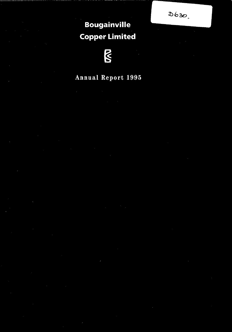$D630$ 

# **Bougainville Copper Limited**

# $\sum$

# Annual Report 1995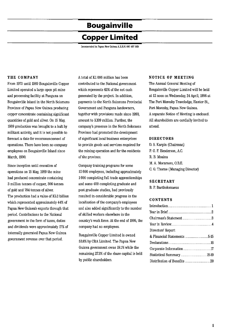# **Bougainville**

# **Copper Limited**

**Incorporated in Papua New Guinea A.R.B.N. 007 497 869** 

#### **THE COMPANY**

From 1972 until 1989 Bougainville Copper Limited operated a large open pit mine and processing facility at Panguna on Bougainville Island in the North Solomons Province of Papua New Guinea producing copper concentrate containing significant quantities of gold and silver. On 15 May, 1989 production was brought to a halt by militant activity, and it is not possible to forecast a date for recommencement of operations. There have been no company employees on Bougainville Island since March, 1990.

Since inception until cessation of operations on 15 May, 1989 the mine had produced concentrate containing 3 million tonnes of copper, 306 tonnes of gold and 784 tonnes of silver. The production had a value of K52 billion which represented approximately 44% of Papua New Guinea's exports through that period. Contributions to the National government in the form of taxes, duties and dividends were approximately 17% of internally generated Papua New Guinea government revenue over that period.

A total of KI 086 million has been contributed to the National government which represents 62% of the net cash generated by the project. In addition, payments to the North Solomons Provincial Government and Panguna landowners, together with provisions made since 1990, amount to KI09 million. Further, the company's presence in the North Solomons Province had promoted the development of significant local business enterprises to provide goods and services required for the mining operation and for the residents of the province.

Company training programs for some 12000 employees, including approximately 1000 completing full trade apprenticeships and some 400 completing graduate and post graduate studies, had previously resulted in considerable progress in the localisation of the company's employees and also added significantly to the number of skilled workers elsewhere in the country's work force. At the end of 1995, the company had no employees.

Bougainville Copper Limited is owned 53.6% by CRA Limited. The Papua New Guinea government owns 19.1% while the remaining 27.3% of the share capital is held by public shareholders.

#### **NOTICE OF MEETING**

The Annual General Meeting of Bougainville Copper Limited will be held at 12 noon on Wednesday, 24 April, 1996 at The Port Moresby Travelodge, Hunter St., Port Moresby, Papua New Guinea. A separate Notice of Meeting is enclosed. All shareholders are cordially invited to attend.

#### **DIRECTORS**

D. S. Karpin (Chairman) P. G. F. Henderson, A.C. R. B. Moaina M. A. Moramoro, O.B.E. C. G. Thorne (Managing Director)

#### **SECRETARY**

B. P. Bartholomaeus

#### **CONTENTS**

| Directors Report            |  |
|-----------------------------|--|
|                             |  |
|                             |  |
| Corporate Information 17    |  |
|                             |  |
| Distribution of Benefits 20 |  |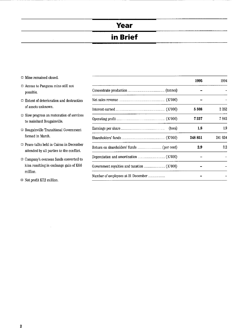# **Year**

# **in Brief**

- $\Box$  Mine remained closed.
- $\Box$ <br> <br> Access to Panguna mine still not possible.
- $\Box$  Extent of deterioration and destruction of assets unknown.

l.

- $\Box$  Slow progress on restoration of services to mainland Bougainville.
- $\hfill\Box$ <br> <br> Bougainville Transitional Government formed in March.
- $\Box$  Peace talks held in Cairns in December attended by all parties to the conflict.
- $\Box$  Company's overseas funds converted to kina resulting in exchange gain of K6.6 million.
- $\Box$  Net profit K7.2 million.

|                                    | 1995             | 1994     |
|------------------------------------|------------------|----------|
|                                    |                  |          |
|                                    |                  |          |
|                                    | 5 508            | $2\;252$ |
|                                    | 7 227            | 7 842    |
| (toea)                             | $1.8\phantom{0}$ | 1.9      |
|                                    | 248 851          | 241 624  |
|                                    | 2.9              | $^{32}$  |
|                                    |                  |          |
|                                    |                  |          |
| Number of employees at 31 December |                  |          |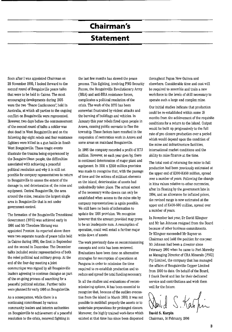# **Chairman's**

### **Statement**

Soon after I was appointed Chairman on 29 November 1995, I looked forward to the second round of Bougainville peace talks that were to be held in Cairns. The most encouraging developments during 1995 were the two "Peace Conferences': held in Australia, at which all parties to the ongoing conflict on Bougainville were represented. However, two days before the commencement of the second round of talks a soldier was shot dead in West Bougainville and on the following day eight rebels and four resistance fighters were killed in a gun battle in South West Bougainville. These tragic events illustrate the trauma being experienced by the Bougainvillean people, the difficulties associated with achieving a peaceful political resolution and why it is still not possible for company representatives to return to Bougainville to assess the extent of the damage to, and deterioration of, the mine and equipment. Central Bougainville, the area around the mine, remains the largest single area in Bougainville that is not under government control.

The formation of the Bougainville Transitional Government (BTG) was achieved early in 1995 and Mr Theodore Miriung was appointed Premier. As reported above there were two separate rounds of peace talks held in Cairns during 1995, the first in September and the second in December. The December talks included senior representatives of both the rebel political and military group. At the end of the four-day meeting a joint communique was signed by all Bougainville leaders agreeing to continue dialogue as part of the on-going process of searching for a peaceful political solution. Further talks were planned for early 1996 on Bougainville.

As a consequence, while there is a continuing commitment by various community leaders and interim authorities on Bougainville to achievement of a peaceful resolution to the crisis, renewed fighting in

the last few months has slowed the peace process. This fighting, involving PNG Security Forces, the Bougainville Revolutionary Army (BRA) and anti-BRA resistance forces, complicates a political resolution of the crisis. The work of the BTG has been somewhat frustrated by violent attacks and the burning of buildings and vehicles. In January this year rebels fired upon people in Arawa, causing public servants to flee the township. These factors have resulted in the suspension of restoration work in Arawa and some areas on mainland Bougainville.

In 1995 the company recorded a profit of K7.2 million. However, as each year goes by, there is continued deterioration of major plant and equipment. In 1991 a K350 million provision was made to recognise that, with the passage of time and the actions of militant elements on the island, deterioration of assets had undoubtedly taken place. The actual extent of the necessary write-downs can only be established when access to the mine site by company representatives is again possible. We still have no basis of information to update the 1991 provision. We recognise however that the amount provided may prove to be an inadequate sum. A resumption of operation, could well entail a further major write down of assets.

The work previously done on recommissioning concepts and costs has been reviewed. Evaluations have been done on alternative strategies for resumption of operations at Panguna in order to minimise the time required to re-establish production and to reduce and spread the total funding necessary.

In all the studies and evaluations of recommissioning options, it has been essential to recognise that, because of the sudden evacuation from the island in March 1990, it was not possible to mothball properly the assets or to undertake preparations for prolonged closure. Moreover, the highly trained work-force which existed at that time has since been dispersed

throughout Papua New Guinea and elsewhere. Considerable time and cost will be required to assemble and train a new work-force to the levels of skill necessary to operate such a large and complex mine.

Our initial studies indicate that production could be re-established within some 18 months from the achievement of the requisite conditions for a return to the island. Output would be built up progressively to the full rate of pre-closure production over a period which would depend upon the condition of the mine and infrastructure facilities, international market conditions and the ability to raise finance at the time.

The total cost of returning the mine to full production had been previously estimated at the upper end of K300-K450 million, spread over a number of years. Following the change **in kina values relative to other currencies)**  after its floating by the government late in 1994, and an allowance for inflated prices, the revised range is now estimated at the upper end of K400-600 million, spread over a number of years.

In November last year, Dr David Klingner and Mr Ian Johnson resigned from the Board because of other business commitments. Dr Klingner succeeded Mr Rayner as Chairman and held the position for one year. Mr Johnson had been a director since February 1990 when he came to Port Moresby as Managing Director of CRA Minerals (PNG) Pty Limited, the company that has managed the affairs of Bougainville Copper Limited from 1990 to date. On behalf of the Board, I thank David and Ian for their dedicated service and contributions and wish them well for the future.

David S. Karpin

Chairman, 14 February, 1996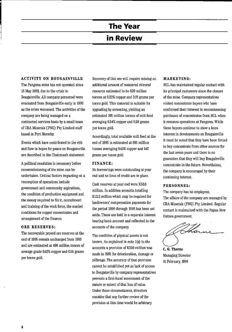# The Year

### **in Review**

#### **ACTIVITY ON BOUGAINVILLE**

The Panguna mine has not operated since 15 May 1989, due to the crisis in Bougainville. All company personnel were evacuated from Bougainville early in 1990 as the crisis worsened. The activities of the company are being managed on a contracted services basis by a small team of CRA Minerals (PNG) Pty Limited staff based in Port Moresby.

Events which have contributed to the ebb and flow in hopes for peace on Bougainville are described in the Chairman's statement.

A political resolution is necessary before recommissioning of the mine can be undertaken. Critical factors impacting on a resumption of operations include government and community aspirations, the condition of production equipment and the money required to fix it, recruitment and training of the work force, the market conditions for copper concentrates and arrangement of the finance.

#### **ORE RESERVES:**

The recoverable proved ore reserves at the end of 1995 remain unchanged from 1989 and are estimated at 496 million tonnes of average grade 0.42% copper and 0.55 grams per tonne gold.

Recovery of this ore will require mining an additional amount of measured mineral resource estimated to be 520 million tonnes at 0.22% copper and 0.18 grams per tonne gold. This material is suitable for upgrading by screening, yielding an estimated 195 million tonnes of mill feed averaging 0.34% copper and 0.28 grams per tonne gold.

Accordingly, total available mill feed at the end of 1995 is estimated at 691 million tonnes averaging 0.40% copper and 0.47 grams per tonne gold.

#### **FINANCE:**

No borrowings were outstanding at year end and no lines of credit are in place.

Cash reserves at year end were K58.6 million. In addition amounts totalling K12.2 million which may be required for landowners' compensation payments for the period 1990 through 1995 has been set aside. These are held in a separate interest bearing bank account and reflected in the accounts of the company.

The condition of physical assets is not known. As explained in note  $1(a)$  to the accounts a provision of K350 million was made in 1991 for deterioration, damage or pilferage. The accuracy of that provision cannot be established yet as lack of access to Bougainville by company representatives prevents a first-hand assessment of the nature or extent of that loss of value. Under these circumstances, directors consider that any further review of the provision at this time would be arbitrary.

#### **MARKETING:**

BCL has maintained regular contact with its principal customers since the closure of the mine. Company representatives visited concentrate buyers who have confirmed their interest in recommencing purchases of concentrates from BCL when it resumes operations at Panguna. While these buyers continue to show a keen interest in developments on Bougainville it must be noted that they have been forced to buy concentrate from other sources for the last seven years and there is no guarantee that they will buy Bougainville concentrate in the future. Nevertheless, the company is encouraged by their continuing interest.

#### **PERSONNEL:**

Guinea government.

The company has no employees. The affairs of the company are managed by CRA Minerals (PNG) Pty Limited. Regular contact is maintained with the Papua New

tor

**C. G. Thorne**  Managing Director 14 February, 1996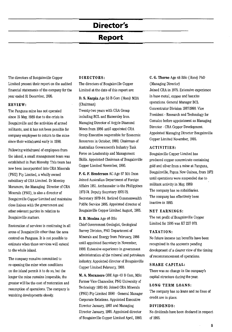# **Director's**

### **Report**

The directors of Bougainville Copper Limited present their report on the audited financial statements of the company for the year ended 31 December, 1995.

#### **REVIEW:**

The Panguna mine has not operated since 15 May, 1989 due to the crisis in Bougainville and the activities of armed militants, and it has not been possible for company employees to return to the mine since their withdrawal early in 1990.

Following withdrawal of employees from the island, a small management team was established in Port Moresby. This team has now been incorporated into CRA Minerals (PNG) Pty Limited, a wholly owned subsidiary of CRA Limited. Dr Moseley Moramoro, the Managing Director of CRA Minerals (PNG), is also a director of Bougainville Copper Limited and maintains close liaison with the government and other relevant parties in relation to Bougainville matters.

Restoration of services is continuing in all areas of Bougainville other than the area centred on Panguna. It is not possible to estimate when these services will extend to the whole island.

The company remains committed to re-opening the mine when conditions on the island permit it to do so, but the longer the mine remains inoperable, the greater will be the cost of restoration and resumption of operations. The company is watching developments closely.

#### **DIRECTORS:**

The directors of Bougainville Copper Limited at the date of this report are:

**D, S, Karpin** Age 53 B Com (Hons) MBA (Chairman)

Twenty-two years with CRA Group including BCL and Hamersley Iron. Managing Director of Argyle Diamond Mines from 1986 until appointed CRA Group Executive responsible for Economic Resources in October, 1992. Chairman of Australian Government's Industry Task Force on Leadership and Management Skills. Appointed Chairman of Bougainville Copper Limited November, 1995.

**P. G. F. Henderson** AC Age 67 MA Oxon Joined Australian Department of Foreign Affairs 1951. Ambassador to the Philippines 1973-74. Deputy Secretary 1976-79. Secretary 1979-84. Retired Commonwealth Public Service 1985. Appointed director of Bougainville Copper Limited August, 1985.

#### **R. B. Moaina** Age 46 BSc

Chief Government Geologist, Geological Survey Division, PNG Department of Minerals and Energy from February, 1986 until appointed Secretary in November, 1993. Extensive experience in government administration of the mineral and petroleum industry. Appointed director of Bougainville Copper Limited February, 1988.

**M. A. Moramoro** OBE Age 43 B Com, MSc Former Vice Chancellor, PNG University of Technology 1983-90. Joined CRA Minerals (PNG) Pty Limited 1990 - General Manager Corporate Relations. Appointed Executive Director January, 1993 and Managing Director January, 1995. Appointed director of Bougainville Copper Limited April, 1993.

**C. G. Thorne** Age 46 BSc (Hons) PhD (Managing Director) Joined CRA in 1975. Extensive experience in base metal, copper and bauxite operations. General Manager BCL Concentrator Division 1987-1990. Vice President - Research and Technology for Comalco before appointment as Managing Director -CRA Copper Development. Appointed Managing Director Bougainville Copper Limited November, 1995.

#### **ACTIVITIES:**

Bougainville Copper Limited has produced copper concentrate containing gold and silver from a mine at Panguna, Bougainville, Papua New Guinea, from 1972 until operations were suspended due to militant activity in May, 1989. The company has no subsidiaries. The company has effectively been inactive in 1995.

#### **NET EARNINGS:**

The net profit of Bougainville Copper Limited for 1995 was K7 227 070.

#### **TAXATION:**

No future income tax benefits have been recognised in the accounts pending development of a clearer view of the timing of recommencement of operations.

#### **SHARE CAPITAL:**

There was no change in the company's capital structure during the year.

#### **LONG TERM LOANS:**

The company has no loans and no lines of credit are in place.

#### **DIVIDENDS:**

No dividends have been declared in respect of 1995.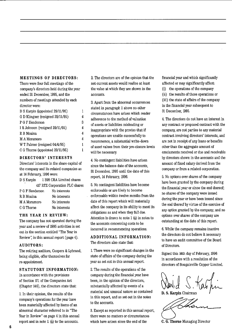#### **MEETINGS OF DIRECTORS:**

There were four full meetings of the company's directors held during the year ended 31 December, 1995, and the numbers of meetings attended by each director were:

| D S Karpin (appointed 29/11/95)  |   |
|----------------------------------|---|
| G D Klingner (resigned 29/11/95) | 4 |
| P G F Henderson                  | 3 |
| I R Johnson (resigned 29/11/95)  | 4 |
| R B Moaina                       | 4 |
| M A Moramoro                     | 4 |
| W T Palmer (resigned 04/4/95)    | 1 |
| C G Thorne (appointed 29/11/95)  |   |
|                                  |   |

#### **DIRECTORS' INTERESTS**

Directors' interests in the share capital of the company and its related companies as at 14 February, 1996 were:

|                 | D S Karpin 1 398 CRA Limited shares |
|-----------------|-------------------------------------|
|                 | 417 RTZ Corporation PLC shares      |
| P G F Henderson | No interests                        |
| R B Moaina      | No interests                        |
| M A Moramoro    | No interests                        |
| C G Thorne      | No interests                        |
|                 |                                     |

#### **THE YEAR IN REVIEW:**

The company has not operated during the year and a review of 1995 activities is set out in the section entitled "The Year in Review", in this annual report (page 4).

#### **AUDITORS:**

The retiring auditors, Coopers & Lybrand, being eligible, offer themselves for re-appointment.

#### **STATUTORY INFORMATION:**

In accordance with the provisions of Section 171 of the Companies Act CChapter 146), the directors state that:

L In their opinion, the results of the company's operations for the year have been materially affected by items of an abnormal character referred to in "The Year in Review" on page 4 in this annual report and in note 1. (a) to the accounts.

2, The directors are of the opinion that the net current assets would realise at least the value at which they are shown in the accounts,

3, Apart from the abnormal occurrences stated in paragraph 1 above no other circumstances have arisen which render adherence to the method of valuation of assets or liabilities misleading or inappropriate with the proviso that if operations are unable successfully to recommence, a substantial write-down of asset values from their pre-closure levels will be necessary,

4, No contingent liabilities have arisen since the balance date of the accounts, 31 December, 1995 until the date of this report, 14 February, 1996,

5, No contingent liabilities have become enforceable or are likely to become enforceable within twelve months from the date of this report which will materially affect the company in its ability to meet its obligations as and when they fall due, Attention is drawn to note  $1$  (a) in notes to the accounts concerning costs to be incurred in recommencing operations,

#### **ADDITIONAL INFORMATION:**  The directors also state that:

1. There were no significant changes in the state of affairs of the company during the year as set out in this annual report.

2, The results of the operations of the company during the financial year have been, in the opinion of the directors, substantially affected by events of a material and unusual nature as contained in this report, and as set out in the notes to the accounts,

3, Except as reported in this annual report, there were no matters or circumstances which have arisen since the end of the

financial year and which significantly affected or may significantly affect:

(i) the operations of the company

Cii) the results of those operations or (iii) the state of affairs of the company in the financial year subsequent to 31 December, 1995,

4, The directors do not have an interest in any contract or proposed contract with the company, are not parties to any material contract involving directors' interests, and are not in receipt of any loans or benefits other than the aggregate amount of emoluments received or due and receivable by directors shown in the accounts and the amount of fixed salary derived from the company or from a related corporation,

5, No options over shares of the company have been granted by the company during the financial year or since the end thereof; no shares of the company were issued during the year or have been issued since the end thereof by virtue of the exercise of any option granted by the company; and no options over shares of the company are outstanding at the date of this report.

6\_ While the company remains inactive the directors do not believe it necessary to have an audit committee of the Board of Directors,

Signed this 14th day of February, 1996 in accordance with a resolution of the directors of Bougainville Copper Limited,

Newl, d S. Kab

David S. Kabhin<br>D. S. Karpin Chairman<br>C. G. Thorne Managing Director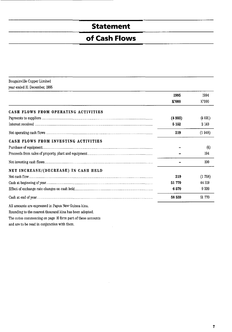# **Statement**

# **of Cash Flows**

| Bougainville Copper Limited  |
|------------------------------|
| year ended 31 December, 1995 |

|                                                     | 1995    | 1994   |
|-----------------------------------------------------|---------|--------|
|                                                     | K'000   | K'000  |
| CASH FLOWS FROM OPERATING ACTIVITIES                |         |        |
|                                                     | (4933)  | (4091) |
|                                                     | 5 1 5 2 | 2 143  |
|                                                     | 219     | (1948) |
| CASH FLOWS FROM INVESTING ACTIVITIES                |         |        |
|                                                     |         | (4)    |
|                                                     |         | 194    |
|                                                     |         | 190    |
| NET INCREASE/(DECREASE) IN CASH HELD                |         |        |
|                                                     | 219     | (1758) |
|                                                     | 51 770  | 44 319 |
|                                                     | 6570    | 9 20 9 |
|                                                     | 58 559  | 51 770 |
| All amounts are expressed in Papua New Guinea kina. |         |        |

Rounding to the nearest thousand kina has been adopted.

The notes commencing on page 10 form part of these accounts

and are to be read in conjunction with them.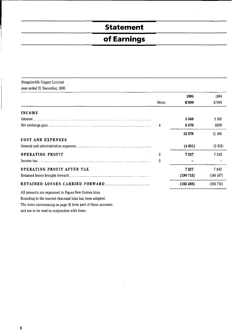# **Statement**

# **of Earnings**

| Bougainville Copper Limited                         |                |           |           |
|-----------------------------------------------------|----------------|-----------|-----------|
| year ended 31 December, 1995                        |                |           |           |
|                                                     |                | 1995      | 1994      |
|                                                     | Notes          | K'000     | K'000     |
| <b>INCOME</b>                                       |                |           |           |
|                                                     |                | 5508      | 2 2 5 2   |
|                                                     | 4              | 6570      | 9209      |
|                                                     |                | 12 078    | 11 461    |
| COST AND EXPENSES                                   |                |           |           |
|                                                     |                | (4851)    | (3619)    |
| <b>OPERATING PROFIT</b>                             | $\overline{c}$ | 7227      | 7842      |
|                                                     | 3              |           |           |
| OPERATING PROFIT AFTER TAX                          |                | 7 2 2 7   | 7842      |
|                                                     |                | (190715)  | (198 557) |
|                                                     |                | (183 488) | (190715)  |
| All amounts are expressed in Papua New Guinea kina. |                |           |           |

Rounding to the nearest thousand kina has been adopted.

The notes commencing on page 10 form part of these accounts

and are to be read in conjunction with them.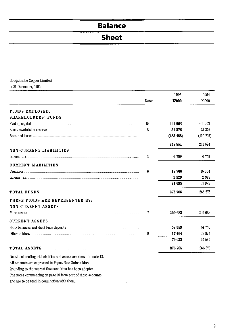# **Balance**

# **Sheet**

| Bougainville Copper Limited |  |
|-----------------------------|--|
| at 31 December, 1995        |  |

|                                                                    |       | 1995      | 1994     |
|--------------------------------------------------------------------|-------|-----------|----------|
|                                                                    | Notes | K'000     | K'000    |
| <b>FUNDS EMPLOYED:</b>                                             |       |           |          |
| <b>SHAREHOLDERS' FUNDS</b>                                         |       |           |          |
|                                                                    | 10    | 401 063   | 401 063  |
|                                                                    | 8     | 31 276    | 31 276   |
|                                                                    |       | (183 488) | (190715) |
|                                                                    |       | 248 851   | 241 624  |
| NON-CURRENT LIABILITIES                                            |       |           |          |
|                                                                    | 3     | 6759      | 6759     |
| <b>CURRENT LIABILITIES</b>                                         |       |           |          |
|                                                                    | 6     | 18766     | 15 5 6 4 |
|                                                                    |       | 2329      | 2329     |
|                                                                    |       | 21 095    | 17893    |
| TOTAL FUNDS                                                        |       | 276 705   | 266 276  |
| THESE FUNDS ARE REPRESENTED BY:                                    |       |           |          |
| <b>NON-CURRENT ASSETS</b>                                          |       |           |          |
|                                                                    | 7     | 200 682   | 200 682  |
| <b>CURRENT ASSETS</b>                                              |       |           |          |
|                                                                    |       | 58 559    | 51 770   |
|                                                                    | 9     | 17464     | 13824    |
|                                                                    |       | 76 023    | 65 594   |
|                                                                    |       | 276 705   | 266 276  |
| Details of contingent liabilities and assets are shown in note 12. |       |           |          |
| All amounts are expressed in Papua New Guinea kina.                |       |           |          |

 $\ddot{\phantom{0}}$ 

The notes commencing on page 10 form part of these accounts

Rounding to the nearest thousand kina has been adopted.

and are to be read in conjunction with them.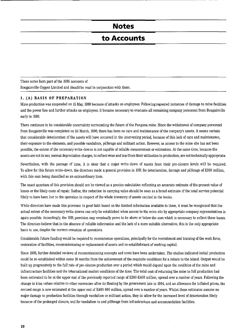### **Notes**

---------------------------------~~~~~~~~~~~----- ----

### **to Accounts**

These notes form part of the 1995 accounts of Bougainville Copper Limited and should be read in conjunction with them.

#### 1. CA) **BASIS OF PREPARATION**

Mine production was suspended on 15 May, 1989 because of attacks on employees. Following repeated instances of damage to mine facilities and the power line and further attacks on employees, it became necessary to evacuate all remaining company personnel from Bougainville early in 1990.

There continues to be considerable uncertainty surrounding the future of the Panguna mine. Since the withdrawal of company personnel from Bougainville was completed on 24 March, 1990, there has been no care and maintenance of the company's assets. It seems certain that considerable deterioration of the assets will have occurred in the intervening period, because of this lack of care and maintenance, their exposure to the elements, and possible vandalism, pilferage and militant action. However, as access to the mine site has not been possible, the extent of the necessary write-downs is not capable of reliable measurement or estimation. At the same time, because the assets are not in use, normal depreciation charges, to reflect wear and tear from their utilisation in production, are not technically appropriate.

Nevertheless, with the passage of time, it is clear that a major write-down of assets from their pre-closure levels will be required. To allow for this future write-down, the directors made a general provision in 1991 for deterioration, damage and pilferage of K350 million, with this sum being classified as an extraordinary item.

The exact quantum of this provision should not be viewed as a precise calculation reflecting an accurate estimate of the present value of losses or the likely costs of repair. Rather, the reduction in carrying value should be Seen as a broad estimate of the total service potential likely to have been lost to the operation in respect of the whole inventory of assets carried in the books.

While directors have made this provision in good faith based on the limited information available to them, it must be recognised that the actual extent of the necessary write-downs can only be established when access to the mine site by appropriate company representatives is again possible. Accordingly, the 1991 provision may eventually prove to be above or below the sum which is necessary to reflect these losse& The directors believe that in the absence of reliable information and the lack of a more suitable alternative, this is the only appropriate basis to use, despite the current cessation of operations.

Considerable future funding would be required to recommence operations, principally for the recruitment and training of the work force, restoration of facilities, recommissioning or replacement of assets and re-establishment of working capital.

Since 1993, further detailed reviews of recommissioning concepts and costs have been undertaken. The studies indicated initial production could be re-established within some 18 months from the achievement of the requisite conditions for a return to the island. Output would be built up progressively to the full rate of pre-closure production over a period which would depend upon the condition of the mine and infrastructure facilities and the international market conditions of the time. The total cost of returning the mine to full production had been estimated to be at the upper end of the previously reported range of K300-K450 million, spread over a number of years. Following the change in kina values relative to other currencies after its floating by the government late in 1994, and an allowance for inflated prices, the revised range is now estimated at the upper end of K400-600 million, spread over a number of years. Whilst these estimates assume no major damage to production facilities through vandalism or militant action, they do allow for the increased level of deterioration likely because of the prolonged closure, and for vandalism to and pilferage from infrastructure and accommodation facilities.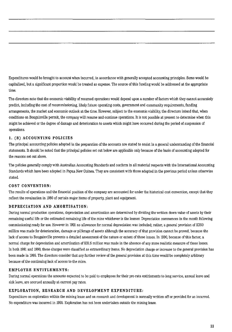Expenditures would be brought to account when incurred, in accordance with generally accepted accounting principles. Some would be capitalised, but a significant proportion would be treated as expense. The source of this funding would be addressed at the appropriate time.

The directors note that the economic viability of resumed operations would depend upon a number of factors which they cannot accurately predict, including the cost of recommissioning, likely future operating costs, government and community requirements, funding arrangements, the market and economic outlook at the time. However, subject to the economic viability, the directors intend that, when conditions on Bougainville permit, the company will resume and continue operations. It is not possible at present to determine when this might be achieved or the degree of damage and deterioration to assets which might have occurred during the period of suspension of operations.

#### 1. (B) **ACCOUNTING POLICIES**

The principal accounting policies adopted in the preparation of the accounts are stated to assist in a general understanding of the financial statements. It should be noted that the principal policies set out below are applicable only because of the basis of accounting adopted for the reasons set out above.

The policies generally comply with Australian Accounting Standards and conform in all material respects with the International Accounting Standards which have been adopted in Papua New Guinea. They are consistent with those adopted in the previous period unless otherwise stated.

#### **COST CONVENTION:**

The results of operations and the financial position of the company are accounted for under the historical cost convention, except that they reflect the revaluation in 1980 of certain major items of property, plant and equipment.

#### **DEPRECIATION AND AMORTISATION:**

During normal production operations, depreciation and amortisation are determined by dividing the written down value of assets by their remaining useful life or the estimated remaining life of the mine whichever is the lessser. Depreciation commences in the month following commissioning ready for use. However in 1991 no allowance for normal depreciation was included; rather, a general provision of K350 million was made for deterioration, damage or pilferage of assets although the accuracy of that provision cannot be proved, because the lack of access to Bougainville prevents a detailed assessment of the nature or extent of those losses. In 1990, because of this factor, a normal charge for depreciation and amortisation of K51.5 million was made in the absence of any more realistic measure of those losses. In both 1991 and 1990, these charges were classified as extraordinary items. No depreciation charge or increase to the general provision has been made in 1995. The directors consider that any further review of the general provision at this time would be completely arbitrary because of the continuing lack of access to the mine.

#### **EMPLOYEE ENTITLEMENTS:**

During normal operations the amounts expected to be paid to employees for their pro-rata entitlements to long service, annual leave and sick leave, are accrued annually at current pay rates.

#### **EXPLORATION, RESEARCH AND DEVELOPMENT EXPENDITURE:**

Expenditure on exploration within the mining lease and on research and development is normally written off or provided for as incurred. No expenditure was incurred in 1995. Exploration has not been undertaken outside the mining lease.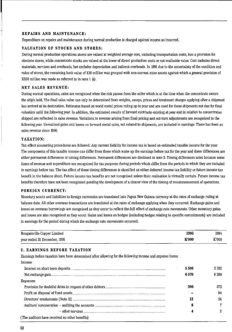#### REPAIRS AND MAINTENANCE:

Expenditure on repairs and maintenance during normal production is charged against income as incurred.

#### VALUATION OF STOCKS AND STORES:

During normal production operations stores are valued at weighted average cost, excluding transportation costs, less a provision for obsolete stores, while concentrate stocks are valued at the lower of direct production costs or net realisable value. Cost includes direct materials, services and overheads, but excludes depreciation and indirect overheads. In 1991 due to the uncertainty of the condition and value of stores, the remaining book value of KI0 million was grouped with non-current mine assets against which a general provision of K350 million was made as referred to in note 1 (a).

#### NET SALES REVENUE:

During normal operations, sales are recognised when the risk passes from the seller which is at the time when the concentrate enters the ship's hold. The final sales value can only be determined from weights, assays, prices and treatment charges applying after a shipment has arrived at its destination. Estimates based on world metal prices ruling up to year end are used for those shipments not due for final valuation until the following year. In addition, the estimated results of forward contracts existing at year end in relation to concentrates shipped are reflected in sales revenue. Variations in revenue arising from final pricing and out-turn adjustments are recognised in the following year. Unrealised gains and losses on forward metal sales, not related to shipments, are included in earnings. There has been no sales revenue since 1990.

#### TAXATION:

Tax effect accounting procedures are followed. Any current liability for income tax is based on estimated taxable income for the year. The components of this taxable income can differ from those which make up the earnings before tax for the year and these differences are either permanent differences or timing differences. Permanent differences are disclosed in note 3. Timing differences arise because some items of revenue and expenditure are recognised for tax purposes during periods which differ from the periods in which they are included in earnings before tax. The tax effect of these timing differences is classified as either deferred income tax liability or future income tax benefit in the balance sheet. Future income tax benefits are not recognised unless their realisation is virtually certain. Future income tax benefits therefore have not been recognised pending the development of a clearer view of the timing of recommencement of operations.

#### FOREIGN CURRENCY:

Monetary assets and liabilities in foreign currencies are translated into Papua New Guinea currency at the rates of exchange ruling at balance date. All other overseas transactions are translated at the rates of exchange applying when they occurred. Exchange gains and losses on overseas borrowings are recognised as they occur to reflect the full effect of exchange rate movements. Other monetary gains and losses are also recognised as they occur. Gains and losses on hedges (excluding hedges relating to specific commitments) are included in earnings for the period during which the exchange rate movements occurred.

| Bougainville Copper Limited  | 1995  | 1994  |
|------------------------------|-------|-------|
| year ended 31 December, 1995 | K'000 | K'000 |

#### 2. EARNINGS BEFORE TAXATION

Earnings before taxation have been determined after allowing for the following income and expense items: Income:

|                                                | 5508 | 2 2 5 2 |
|------------------------------------------------|------|---------|
|                                                | 6570 | 9209    |
| Expenses:                                      |      |         |
|                                                | 306  |         |
|                                                |      | 94      |
|                                                | 12   | 24      |
|                                                | 8    |         |
|                                                |      |         |
| (The auditors have received no other benefits) |      |         |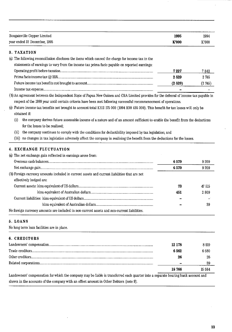| Bougainville Copper Limited  | 1995  | 1994  |
|------------------------------|-------|-------|
| year ended 31 December, 1995 | K'000 | K'000 |

#### 3. TAXATION

| (a) The following reconciliation discloses the items which caused the charge for income tax in the |        |         |
|----------------------------------------------------------------------------------------------------|--------|---------|
| statements of earnings to vary from the income tax prima facie payable on reported earnings:       |        |         |
|                                                                                                    | 7227   | 7 842   |
|                                                                                                    | 2529   | 2745    |
|                                                                                                    | (2529) | (2 745) |
|                                                                                                    |        |         |

(b) An agreement between the Independent State of Papua New Guinea and CRA Limited provides for the deferral of income tax payable in respect of the 1989 year until certain criteria have been met following successful recommencement of operations.

(c) Future income tax benefits not brought to account total K1l2 175000 (1994 K99 435 000). This benefit for tax losses will only be obtained if:

(i) the company derives future assessable income of a nature and of an amount sufficient to enable the benefit from the deductions for the losses to be realised;

- (ii) the company continues to comply with the conditions for deductibility imposed by tax legislation; and
- (iii) no changes in tax legislation adversely affect the company in realising the benefit from the deductions for the losses.

#### 4. EXCHANGE FLUCTUATION

| (a) The net exchange gain reflected in earnings arose from:                                  |      |         |
|----------------------------------------------------------------------------------------------|------|---------|
|                                                                                              | 6570 | 9 209   |
|                                                                                              | 6570 | 9 2 0 9 |
| (b) Foreign currency amounts included in current assets and current liabilities that are not |      |         |
| effectively hedged are:                                                                      |      |         |
|                                                                                              | 73   | 47 515  |
|                                                                                              | 451  | 2809    |
|                                                                                              |      |         |
|                                                                                              |      | 39      |
| No foreign currency amounts are included in non-current assets and non-current liabilities.  |      |         |

#### 5. LOANS

| No long term loan facilities are in place. |  |  |  |  |
|--------------------------------------------|--|--|--|--|
|--------------------------------------------|--|--|--|--|

#### 6. CREDITORS

| 12 178 | 8 919  |
|--------|--------|
| 6 562  | 6 580  |
|        | 26     |
|        |        |
| 18 766 | 15 564 |

Landowners' compensation for which the company may be liable is transferred each quarter into a separate bearing bank account and shown in the accounts of the company with an offset amount in Other Debtors (note 9).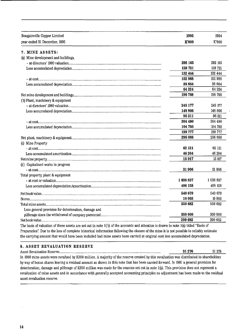| <b>Bougainville Copper Limited</b>                                                                                                   | 1995      | 1994      |
|--------------------------------------------------------------------------------------------------------------------------------------|-----------|-----------|
| year ended 31 December, 1995                                                                                                         | K'000     | K'000     |
| 7. MINE ASSETS:                                                                                                                      |           |           |
| (a) Mine development and buildings.                                                                                                  |           |           |
|                                                                                                                                      | 292 165   | 292 165   |
|                                                                                                                                      | 159 721   | 159 721   |
|                                                                                                                                      | 132 444   | 132 444   |
|                                                                                                                                      | 102 988   | 102 988   |
|                                                                                                                                      | 38 664    | 38 664    |
|                                                                                                                                      | 64324     | 64 324    |
|                                                                                                                                      | 196 768   | 196 768   |
| (b) Plant, machinery & equipment                                                                                                     |           |           |
|                                                                                                                                      | 245 177   | 245 177   |
|                                                                                                                                      | 148 866   | 148866    |
|                                                                                                                                      | 96311     | 96 311    |
|                                                                                                                                      | 304 480   | 304 480   |
|                                                                                                                                      | 104 703   | 104 703   |
|                                                                                                                                      | 199 777   | 199 777   |
|                                                                                                                                      | 296 088   | 296 088   |
| (c) Mine Property                                                                                                                    |           |           |
|                                                                                                                                      | 62 121    | 62 121    |
|                                                                                                                                      | 46 204    | 46 204    |
|                                                                                                                                      | 15917     | 15 917    |
| (d) Capitalised works in progress                                                                                                    |           |           |
|                                                                                                                                      | 31906     | 31 906    |
| Total property, plant & equipment                                                                                                    |           |           |
|                                                                                                                                      | 1 038 837 | 1 038 837 |
|                                                                                                                                      | 498 158   | 498 158   |
|                                                                                                                                      |           |           |
|                                                                                                                                      | 540 679   | 540 679   |
|                                                                                                                                      | 10 003    | 10 003    |
|                                                                                                                                      | 550 682   | 550 682   |
| Less general provision for deterioration, damage and                                                                                 |           |           |
|                                                                                                                                      | 350 000   | 350 000   |
| The basis of valuation of these assets are set out in note 1(b) of the accounts and attention is drawn to note 1(a) titled "Basis of | 200 682   | 200 682   |

The basis of valuation of these assets are set out in note 1(b) of the accounts and attention is drawn to note 1(a) titled "Basis of Preparation': Due to the loss of complete historical information following the closure of the mine it is not possible to reliably estimate the carrying amount that would have been included had mine assets been carried at original cost less accumulated depreciation.

#### 8. ASSET REVALUATION RESERVE

Asset Revaluation Reserve...................................................................................................................... 31276 31 276 In 1980 mine assets were revalued by K300 million. A majority of the reserve created by this revaluation was distributed to shareholders by way of bonus shares leaving a residual amount as shown in this note that has been carried forward. In 1991 a general provision for deterioration, damage and pilferage of K350 million was made for the reasons set out in note l(a). This provision does not represent a revaluation of mine assets and in accordance with generally accepted accounting principles no adjustment has been made to the residual asset revaluation reserve.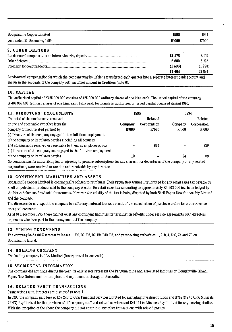| year ended 31 December, 1995<br>K'000<br>9. OTHER DEBTORS<br>12 178<br>6 882 | K'000  |
|------------------------------------------------------------------------------|--------|
|                                                                              |        |
|                                                                              |        |
|                                                                              | 8919   |
|                                                                              | 6 195  |
| (1596)                                                                       | (1290) |
| 17464                                                                        | 13824  |

Landowners' compensation for which the company may be liable is transferred each quarter into a separate interest bank account and shown in the accounts of the company with an offset amount in Creditors (note 6).

#### 10. CAPITAL

The authorised capital of K425 000 000 consists of 425 000 000 ordinary shares of one kina each. The issued capital of the company is 401 062 500 ordinary shares of one kina each, fully paid. No change in authorised or issued capital occurred during 1995.

| 11. DIRECTORS' EMOLUMENTS                                                                                                              |         | 1995        | 1994    |             |  |
|----------------------------------------------------------------------------------------------------------------------------------------|---------|-------------|---------|-------------|--|
| The total of the emoluments received,                                                                                                  |         | Related     |         | Related     |  |
| or due and receivable (whether from the                                                                                                | Company | Corporation | Company | Corporation |  |
| company or from related parties) by:                                                                                                   | K'000   | K'000       | K'000   | K'000       |  |
| (a) Directors of the company engaged in the full-time employment                                                                       |         |             |         |             |  |
| of the company or its related parties (including all bonuses                                                                           |         |             |         |             |  |
| and commissions received or receivable by them as employees), was                                                                      |         | 804         |         | 739         |  |
| (b) Directors of the company not engaged in the full-time employment                                                                   |         |             |         |             |  |
| of the company or its related parties.                                                                                                 | 12      |             | 24      | 38          |  |
| No commissions for subscribing for, or agreeing to procure subscriptions for any shares in or debentures of the company or any related |         |             |         |             |  |
| corporations, were received or are due and receivable by any director.                                                                 |         |             |         |             |  |

#### 12. CONTINGENT LIABILITIES AND ASSETS

Bougainville Copper Limited is contractually obliged to reimburse Shell Papua New Guinea Pty Limited for any retail sales tax payable by Shell on petroleum products sold to the company. A claim for retail sales tax amounting to approximately K4 663 000 has been lodged by the North Solomons Provincial Government. However, the validity of the tax is being disputed by both Shell Papua New Guinea Pty Limited and the company.

The directors do not expect the company to suffer any material loss as a result of the cancellation of purchase orders for either revenue or capital contracts.

As at 31 December 1995, there did not exist any contingent liabilities for termination benefits under service agreements with directors or persons who take part in the management of the company.

#### 13. MINING TENEMENTS

The company holds 100% interest in leases: I, B9, B6, B8, B7, B2, BIO, B3; and prospecting authorities: I, 2, 3, 4, 5; 6, 7A and 7B on Bougainville Island.

#### 14. HOLDING COMPANY

The holding company is CRA Limited (incorporated in Australia).

#### 15. SEGMENTAL INFORMATION

The company did not trade during the year. Its only assets represent the Panguna mine and associated facilities on Bougainville Island, Papua New Guinea and limited plant and equipment in storage in Australia.

#### 16. RELATED PARTY TRANSACTIONS

Transactions with directors are disclosed in note 11.

In 1995 the company paid fees of K59 243 to CRA Financial Services Limited for managing investment funds and K759 377 to CRA Minerals (PNG) Pty Limited for the provision of office space, staff and related services and K41144 to Minenco Pty Limited for engineering studies. With the exception of the above the company did not enter into any other transactions with related parties.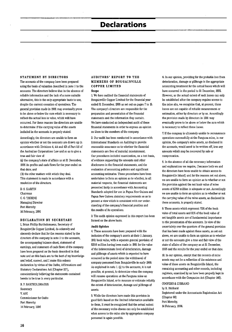### **Declarations**

#### STATEMENT BY DIRECTORS

The accounts of the company have been prepared using the basis of valuation described in note 1 to the accounts. The directors believe that in the absence of reliable information and the lack of a more suitable alternative, this is the only appropriate basis to use, despite the current cessation of operations. The general provision made in 1991 may eventually prove to be above or below the sum which is necessary to reflect the actual loss in value, which will have occurred. For these reasons the directors are unable to determine if the carrying value of the assets included in the accounts is properly stated.

Accordingly, the directors are unable to form an opinion whether or not the accounts are drawn up in accordance with Divisions 4, 4A and 4B of Part 3.6 of the Australian Corporations Law and so as to give a true and fair view of:

(a) the company's state of affairs as at 31 December, 1995 its profits and cash flows for the year ended on that date; and

(b) the other matters with which they deal. This statement is made in accordance with a resolution of the directors.

D. S. KARPIN Chairman C. G. THORNE Managing Director Port Moresby 14 February, 1996

#### DECLARATION BY SECRETARY

I, Brian Phillip Bartholomaeus, Secretary of Bougainville Copper Limited, do solemnly and sincerely declare that for the reasons stated by the directors of the company in note 1 to the accounts, the accompanying balance sheet, statement of earnings, and statement of cash flows of the company have been prepared on the basis described in that note and on this basis are to the best of my knowledge and belief, correct, and I make this solemn declaration by virtue of the Oaths, Affirmations and Statutory Declarations Act (Chapter 317), conscientiously believing the statements contained herein to be true in every particular.

B. P. BARTHOLQMAEUS Secretary Y.ANI Commissioner for Oaths Port Moresby 14 February, 1996

#### AUDITORS' REPORT TO THE MEMBERS OF BOUGAINVILLE COPPER LIMITED

Scope

1 We have audited the financial statements of Bougainville Copper Limited for the financial year ended 31 December, 1995 as set out on pages 7 to 15. The company's directors are responsible for the preparation and presentation of the financial statements and the information they contain. We have conducted an independent audit of these financial statements in order to express an opinion on them to the members of the company.

2. Our audit has been conducted in accordance with International Standards on Auditing to provide reasonable assurance as to whether the financial statements are free of material misstatement. Our procedures included examination, on a test basis, of evidence supporting the amounts and other disclosures in the financial statements, and the evaluation of accounting policies and significant accounting estimates. These procedures have been undertaken to form an opinion as to whether, in all material respects, the financial statements are presented fairly in accordance with Accounting Standards adopted for use in Papua New Guinea and Papua New Guinea statutory requirements so as to present a view which is consistent with our under· standing of the company's financial position and the results of its operations.

3. The audit opinion expressed in this report has been formed on the above basis.

#### Audit Opinion

4. These accounts have been prepared with the inclusion of the company's assets at their 1 January, 1991 book value, with a separate general provision of K350 million having been made in 1991 for the value of the indeterminate level of deterioration, damage and pilferage of assets which is expected to have occurred in the period since the withdrawal of company personnel from Bougainville in early 1990. As explained in note 1 (a) to the accounts, it is not possible, at present, to determine when the company will resume operations at the Panguna mine on Bougainville Island, or to measure or estimate reliably the extent of deterioration, damage and pilferage of assets.

5. While the directors have made this provision in good faith based on the limited information available to them, it must be recognised that the actual extent of the necessary write-downs can only be established when access to the mine site by appropriate company personnel is again possible.

6. In our opinion, providing for the probable loss from deterioration, damage or pilferage is the appropriate accounting treatment for the actual losses which will have occurred in the period to 31 December, 1995. However, as the actual extent of such losses can only be established after the company regains access to the mine site, we recognise that, at present, those losses are not capable of reliable measurement or estimation, either by directors or by us. Accordingly the provision made by directors in 1991 may eventually prove to be above or below the sum which is necessary to reflect these losses.

7. If the company is ultimately unable to recommence operations successfully at the Panguna mine, in our opinion, the company's mine assets, as disclosed in the accounts, would need to be written off, less any amounts which may be recovered by sale or compensation.

8. In the absence of all the necessary information and explanations we require, (because both we and the directors have been unable to obtain access to BougainviIIe Island) and for the reasons set out above, we are unable to form an opinion as to whether or not the provision against the net book value of mine assets of K350 million is adequate or not. Accordingly we are unable to form an opinion as to whether or not the carrying value of the mine assets, as disclosed in these accounts, is properly stated.

9. These assets which represent 72% of the book value of total assets and 81% of the book value of net tangible assets are of fundamental importance to the presentation of the accounts. In view of the uncertainty over the quantum of the general provision that has been made against these assets, as set out above, we are unable to form an opinion as to whether or not the accounts give a true and fair view of the state of affairs of the company as at 31 December, 1995 and the results for the year ended on that date.

10. In our opinion, except that the records of mine assets may not be a reflection of the existence and value of those assets on Bougainville Island, the remaining accounting and other records, including registers, examined by us have been properly kept in accordance with the Companies Act (Chapter 146). COOPERS & LYBRAND

by R. Hubbard Registered under the Accountants Registration Act (Chapter 89) Port Moresby, 14 February, 1996.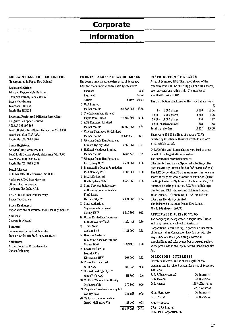### **Corporate**

# **Information**

#### BOUGAINVILLE COPPER LIMITED

(Incorporated in Papua New Guinea)

#### Registered Office:

1st Floor, Mogoru Motu Building, Champion Parade, Port Moresby Papua New Guinea Telephone, 3212044 Facsimile: 3213634

#### Principal Registered Office in Australia:

Bougainville Copper Limited ARB.N. 007 497 869 Level 33, 55 Collins Street, Melbourne, Vic. 3000. Telephone: (03) 9283 3333 Facsimile (03) 9283 3707

#### Share Registers:

c/o KPMG Registrars Pty Ltd Level 1, 161 Collins Street, Melbourne, Vic. 3000. Telephone: (03) 9288 5533 Facsimile (03) 9288 6237

#### Postal Address:

GPO Box 2975EE Melbourne, Vic. 3001 A.C.T.: c/o KPMG Peat Marwick 80 Northbourne Avenue, Canberra City 2601, A.C.T.

PN.G.: PO Box 1274, Port Moresby, Papua New Guinea

#### Stock Exchanges:

Listed with the Australian Stock Exchange Limited

#### Auditors:

Coopers & Lybrand

#### Bankers:

Commonwealth Bank of Australia Papua New Guinea Banking Corporation

#### Solicitors:

Arthur Robinson & Hedderwicks Gadens Ridgeway

#### TWENTY LARGEST SHAREHOLDERS

The twenty largest shareholders as at 14 February, 1996 and the number of shares held by each were:

| Name and                         |               | % of      |
|----------------------------------|---------------|-----------|
| Registered                       |               | Issued    |
| Address                          | <b>Shares</b> | Shares    |
| 1 CRA Limited                    |               |           |
| Melbourne Vic                    | 214 887 966   | 53.58     |
| 2 The Independent State of       |               |           |
| Papua New Guinea                 | 76 430 809    | 19.06     |
| 3 ANZ Nominees Limited           |               |           |
| Melbourne Vic                    | 27 563 362    | 6.87      |
| 4 Citicorp Nominees Pty Limited  |               |           |
| Melbourne Vic                    | 24 508 958    | 6. I I    |
| 5 Westpac Custodian Nominees     |               |           |
| Limited Sydney NSW               | 7 660 065     | 1.91      |
| 6 National Nominees Limited      |               |           |
| Melbourne Vic                    | 6 678 748     | 1.67      |
| 7 Westpac Custodian Nominees     |               |           |
| Ltd Sydney NSW                   | 5431550       | 1.35      |
| 8 Bougainville Copper Foundation |               |           |
|                                  | 3 600 000     |           |
| Port Moresby PNG                 |               | 0.90      |
| 9 MLC Life Limited               |               |           |
| North Sydney NSW                 | 3419868       | 0.85      |
| 10 State Services & Statutory    |               |           |
| Authorities Superannuation       |               |           |
| Fund Board                       |               |           |
| Port Moresby PNG                 | 2561500       | 0.64      |
| 11 State Authorities             |               |           |
| Superannuation Board             |               |           |
| Sydney NSW                       | 1680300       | 0.42      |
| 12 Chase Manhattan Nominees      |               |           |
| Limited Sydney NSW               | 1 222 413     | $_{0.30}$ |
| 13 James West                    |               |           |
| Auckland NZ                      | 1 141 200     | 0.28      |
| 14 Barclays Australia            |               |           |
| Custodian Services Limited       |               |           |
| Sydney NSW                       | 1 059 315     | 0.26      |
| 15 Lawrence Neville              |               |           |
| Lancelot Platt                   |               |           |
| Kingsgrove NSW                   | 897 000       | 0.22      |
| 16 Franz Heinrich Rast           |               |           |
| <b>Bulli NSW</b>                 | 612 986       | 0.15      |
| 17 Ernfold Holdings Pty Ltd      |               |           |
| Carss Park NSW                   | 411 600       | 0.10      |
| 18 Victoria Workcover Authority  |               |           |
| Melbourne Vic                    | 379 600       | 0.09      |
| 19 Perpetual Trustee Company Ltd |               |           |
| Sydney NSW                       | 347 653       | 0.09      |
| 20 Victorian Superannuation      |               |           |
| Board Melbourne Vic              | 313 400       | 008       |
|                                  |               |           |
|                                  | 380 808 293   | 94.93     |

#### DISTRIBUTION OF SHARES

As at 14 February, 1996: The issued shares of the company were 401 062 500 fuUy paid one kina shares, each carrying one voting right. The number of shareholders was 18 427.

The distribution of holdings of the issued shares was:

 $\mathbf{v}$ 

|                    |                          |        | w      |
|--------------------|--------------------------|--------|--------|
| $\mathbf{L}$       | 1000 shares              | 15 228 | 82.64  |
| 1 001 -            | 5000 shares              | 2592   | 14.06  |
|                    | 5 001 - 10 000 shares    | 344    | 1.87   |
|                    | 10 001 - shares and over | 263    | 143    |
| Total shareholders |                          | 18427  | 100.00 |

There were 12 945 holdings of shares (70.3%) numbering less then 500 shares which do not form a marketable parcel.

94.93% of the total issued shares were held by or on behalf of the largest 20 shareholders.

The substantial shareholders were:

CRA Limited and its wholly-owned subsidiary CRA Base Metals Pty Limited 214 887 966 shares (53.58%); The RTZ Corporation PLC has an interest in the same shares through its wholly-owned subsidiaries' (Tinto Holdings Australia Pty Limited, Melbourne, Vic., RTZ Australian Holdings Limited, RTZ Pacific Holdings Limited and RTZ International Holdings Limited, all of London, UK) interests in CRA Limited and CRA Base Metals Pty Limited; The Independent State of Papua New Guinea -

76430809 shares (19.06%).

#### APPLICABLE JURISDICTION

The company is incorporated in Papua New Guinea and is not generally subject to Australian Corporations Law including, in particular, Chapter 6 of the Australian Corporation Law dealing with the acquisition of shares (including substantial shareholdings and take-overs), but is instead subject to the provisions of the Papua New Guinea Companies Act.

#### DIRECTORS' INTERESTS

Directors' interests in the share capital of the company and its related companies as at 14 February, 1996 were:

| P. G. F. Henderson, AC | No interests           |
|------------------------|------------------------|
| R. B. Moaina           | No interests           |
| D. S. Karpin           | 1398 CRA shares        |
|                        | 417 PTZ shares         |
| M. A. Moramoro         | No interests           |
| C. G. Thorne           | $\sim$<br>No interests |
| Abbreviations:         |                        |
| CRA - CRA Limited      |                        |

RTZ -RTZ Corporation PLC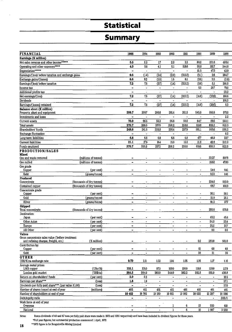# **Statistical**

# **Summary**

|                                                    |                           |                              | 1994                         |                          |                              |                              | 1990                         | 1989                     |                  |
|----------------------------------------------------|---------------------------|------------------------------|------------------------------|--------------------------|------------------------------|------------------------------|------------------------------|--------------------------|------------------|
| <b>FINANCIAL</b><br>Earnings (K million)           |                           | 1995                         |                              | 1993                     | 1992                         | 1991                         |                              |                          | 1988             |
| Net sales revenue and other income*****            |                           | 5.5                          | $2\overline{2}$              | 17                       | 2.2                          | 3.3                          | 80.2                         | 231.6                    | 493.4            |
| Operating and other expenses*****                  |                           | 4.9                          | 36                           | 4,1                      | 5.1                          | 316.6                        | 36.8                         | 181.7                    | 244.8            |
| Depreciation*****                                  |                           | $\blacksquare$               | $\blacksquare$               | $\overline{\phantom{a}}$ | $\blacksquare$               |                              | 51.5                         | 473                      | 43.9             |
| Earnings/(loss) before taxation and exchange gains |                           | 0.6                          | (1.4)                        | (2.4)                    | $\overline{(2.9)}$           | (313.3)                      | (8.1)                        | 2.6                      | 204.7            |
| Exchange gains/(losses)                            |                           | 6.6                          | 92                           | (0.3)                    | $1.5\,$                      | 0.1                          | (0.5)                        | 2.5                      | (2.9)            |
| Earnings/(loss) before taxation                    |                           | $\overline{72}$              | $\overline{73}$              | (2.7)                    | (14)                         | (313.2)                      | (8.6)                        | 5.1                      | 201.8            |
| Income tax                                         |                           | ÷,                           | $\omega$                     | $\blacksquare$           | $\overline{\phantom{a}}$     | $\overline{a}$               | 6.0                          | 257                      | 70.0             |
| Additional profits tax                             |                           | $\qquad \qquad \blacksquare$ | $\overline{\phantom{0}}$     | $\qquad \qquad -$        | ä,                           |                              | $\overline{\phantom{a}}$     | $\overline{a}$           | 23.2             |
| Net earnings/(loss)                                |                           | 7.2                          | 78                           | (2.7)                    | (14)                         | (313.2)                      | (14.6)                       | (20.6)                   | 108.6            |
| Dividends                                          |                           |                              | $\blacksquare$               | $\overline{\phantom{0}}$ | $\overline{\phantom{a}}$     | $\blacksquare$               | $\blacksquare$               | $\overline{\phantom{0}}$ | 108.3            |
| Earnings/(losses) retained                         |                           | 7.2                          | 78                           | (2.7)                    | (1.4)                        | (313.2)                      | (14.6)                       | (20.6)                   | $0.3\,$          |
| Balance sheet (K million)                          |                           |                              |                              |                          |                              |                              |                              |                          |                  |
| Property, plant and equipment                      |                           | 200.7                        | 2007                         | 200.8                    | 201.4                        | 201.5                        | 545.9                        | 595.8                    | 570.0            |
| Investments and loans                              |                           |                              | ÷,                           |                          | $\blacksquare$               | $\blacksquare$               |                              | £,                       | $\overline{2.2}$ |
| Current assets                                     |                           | 76.0                         | 65.6                         | 56.2                     | 56.8                         | 56.5                         | 647                          | 59.5                     | 250.1            |
| Total assets                                       |                           | 276.7                        | 266.3                        | 257.0                    | 258.2                        | 258.0                        | 610.6                        | 655.3                    | 822.3            |
| Shareholders' funds                                |                           | 248.8                        | 241.6                        | 233.8                    | 236.4                        | 237.9                        | 551.1                        | 565.6                    | 586.2            |
| <b>Exchange fluctuation</b>                        |                           | $\qquad \qquad$              | $\qquad \qquad -$            | $\blacksquare$           | $\blacksquare$               | $\overline{\phantom{a}}$     | $\overline{\phantom{a}}$     | $\overline{\phantom{a}}$ | 0.2              |
| Long term liabilities                              |                           | 6.8                          | 6.8                          | 6.8                      | 6.8                          | 6.8                          | 477                          | 46.9                     | 237              |
| <b>Current liabilities</b>                         |                           | 21,1                         | 179                          | 16.4                     | 15.0                         | 133                          | 11.8                         | 42.8                     | 212.2            |
| Funds employed                                     |                           | 276.7                        | 266.3                        | 257.0                    | 258.2                        | 258.0                        | 610.6                        | 655.3                    | 822.3            |
| PRODUCTION/SALES                                   |                           |                              |                              |                          |                              |                              |                              |                          |                  |
| <b>Mined</b><br>Ore and waste removed              | (millions of tonnes)      |                              |                              |                          |                              |                              | $\blacksquare$               | 33.27                    | 89.78            |
| Ore milled                                         | (millions of tonnes)      | -                            | $\qquad \qquad \blacksquare$ | $\tilde{\phantom{a}}$    | $\overline{a}$               | $\overline{\phantom{a}}$     | $\overline{\phantom{a}}$     | 18.52                    | 47.69            |
| Ore grade                                          |                           |                              |                              |                          |                              |                              |                              |                          |                  |
| Copper                                             | (per cent)                | -                            | -                            | $\overline{\phantom{a}}$ | -                            | $\overline{\phantom{a}}$     | -                            | 0.44                     | 0.41             |
| Gold                                               | (grams/tonne)             | $\blacksquare$               | $\overline{a}$               |                          | $\overline{\phantom{a}}$     | $\overline{a}$               | $\ddot{\phantom{a}}$         | 0.50                     | 0.41             |
| Produced                                           |                           |                              |                              |                          |                              |                              |                              |                          |                  |
| Concentrate                                        | (thousands of dry tonnes) |                              |                              | -                        |                              | ă.                           | $\blacksquare$               | 224.6                    | 552.0            |
| Contained copper                                   | (thousands of dry tonnes) | -                            | $\overline{\phantom{a}}$     | $\blacksquare$           | $\blacksquare$               | $\blacksquare$               | $\qquad \qquad \blacksquare$ | 68.7                     | 166.0            |
| Concentrate grade                                  |                           |                              |                              |                          |                              |                              |                              |                          |                  |
| Copper                                             | (per cent)                | -                            | $\overline{\phantom{a}}$     |                          |                              | $\overline{a}$               | ٠                            | 30.1                     | 30.1             |
| Gold                                               | (grams/tonne)             | $\blacksquare$               | $\overline{a}$               | $\overline{\phantom{m}}$ | $\blacksquare$               | $\blacksquare$               | $\blacksquare$               | 31.0                     | 25.1             |
| Silver                                             | (grams/tonne)             |                              |                              |                          |                              |                              |                              | 91.2                     | 877              |
| Shipped<br>Total concentrate                       | (thousands of dry tonnes) | -                            |                              |                          |                              |                              |                              | 250.8                    | 570.8            |
| Destination:                                       |                           |                              |                              |                          |                              |                              |                              |                          |                  |
| Japan                                              | (per cent)                | -                            | ۰                            | ۰                        |                              | $\overline{a}$               | $\overline{\phantom{0}}$     | 40.2                     | 45.4             |
| Other Asian                                        | (per cent)                | $\blacksquare$               |                              | ä,                       | $\overline{a}$               | L,                           | $\ddot{ }$                   | 34.3                     | 23.4             |
| Europe                                             | (per cent)                |                              |                              |                          |                              |                              |                              | $\frac{25.5}{ }$         | 27.7             |
| All Other                                          | (per cent)                | ÷.                           |                              |                          |                              |                              | $\overline{a}$               | 0.0                      | $3.5\,$          |
| Values                                             |                           |                              |                              |                          |                              |                              |                              |                          |                  |
| Gross concentrate sales value (before treatment    |                           |                              |                              |                          |                              |                              |                              |                          |                  |
| and refining charges, freight, etc.)               | (K million)               | -                            |                              |                          |                              | -                            | $0.3\,$                      | 260.0                    | 561.0            |
| Contribution by:                                   |                           |                              |                              |                          |                              |                              |                              |                          |                  |
| Copper                                             | (per cent)                | -                            |                              |                          | $\overline{\phantom{a}}$     |                              | 61<br>$\overline{38}$        | 68<br>31                 | 68               |
| Gold                                               | (per cent)                | ۰                            | $\blacksquare$               | $\blacksquare$           | $\qquad \qquad \blacksquare$ |                              |                              |                          | $30\,$           |
| <b>OTHER</b><br>US\$/Kina exchange rate            |                           | 0.79                         | 1.01                         | 1.02                     | 1.04                         | 1.05                         | 1.05                         | 1.17                     | 1.16             |
| Average metal prices                               |                           |                              |                              |                          |                              |                              |                              |                          |                  |
| LME copper                                         | (USc/lb)                  | 133.1                        | 105,0                        | 87.0                     | 103.0                        | 106.0                        | 119.8                        | 129.0                    | 117.9            |
| London gold market                                 | $(US\sqrt[6]{oz})$        | 384.5                        | 384.0                        | 360.0                    | 344.0                        | 362.2                        | 382.8                        | 381.0                    | 436.8            |
| Return on shareholders' funds                      | (per cent)                | 2.9                          | 3.2                          | $\overline{\phantom{0}}$ | $\blacksquare$               | $\overline{\phantom{a}}$     | $\blacksquare$               | $\blacksquare$           | 18.5             |
| Earnings per share***                              | (toea)                    | 1.8                          | 1.9                          | -                        | $\blacksquare$               | $\blacksquare$               | $\overline{\phantom{a}}$     | $\blacksquare$           | 27.1             |
| Dividends per fully paid share*** (par value K100) | (toea)                    |                              |                              | $\blacksquare$           | $\overline{\phantom{a}}$     | $\overline{\phantom{0}}$     | -                            | $\blacksquare$           | 27.0             |
| Number of shares issued at end of year             | (millions)                | 401                          | 401                          | 401                      | 401                          | 401                          | 401                          | 401                      | 401              |
| Number of shareholders at end of year              |                           | 18 4 52                      | 18 765                       | 19 189                   | 19851                        | 19 982                       | 20 532                       | 21 287                   | 21 966           |
| Debt/equity ratio                                  |                           | -                            | ۰                            | $\blacksquare$           | $\overline{\phantom{a}}$     | $\qquad \qquad \blacksquare$ | $\blacksquare$               | $\blacksquare$           | .002/1           |
| Work force at end of year                          |                           |                              |                              |                          |                              |                              |                              |                          |                  |
| Overseas                                           |                           | -                            |                              |                          | 1                            | 6                            | 13                           | 330                      | 610              |
| National                                           |                           | -                            | $\blacksquare$               | $\blacksquare$           | $\mathbf{1}$                 | 6                            | $\overline{10}$              | 1987                     | 2950             |

**Notes: Bonus dividends of 4.0 and 6.7 toea per fully paid share were made in 1979 and 1980 respectively and have been included in dividend figures for those years. tFull year figures; but commercial production commenced 1 April, 1972** 

**18 "1972 figure is for Bougainville Mining Limited**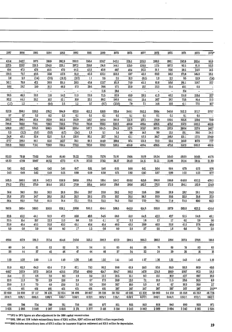| 1986<br>1985<br>1982<br>1987<br>1984<br>1983<br>1981<br>1980<br>1979<br>1978<br>1977<br>1976<br>1975<br>1974<br>1973<br>1972*<br>415.4<br>342.7<br>310.9<br>283.2<br>296.4<br>317.6<br>392.9<br>338.7<br>343.1<br>225.1<br>205.3<br>208.9<br>193.1<br>292.6<br>252.4<br>95.9<br>227.5<br>2237<br>221.5<br>234.8<br>228.1<br>207.2<br>210.8<br>174.8<br>144.1<br>125.0<br>126.8<br>117.5<br>107.2<br>92.5<br>81.8<br>53.3<br>49.4<br>47,3<br>476<br>46.5<br>47.0<br>44.2<br>43.3<br>438<br>407<br>36.2<br>29.6<br>28.5<br>40,4<br>31.1<br>24.8<br>145<br>717<br>31.8<br>138.5<br>48.5<br>296<br>117.8<br>42.3<br>120.1<br>597<br>60.3<br>56.3<br>171.6<br>158.3<br>42.3<br>145.8<br>28.1<br>2.3<br>2.6<br>(1.4)<br>(2.8)<br>(3.3)<br>26<br>(16.3)<br>1.1<br>35<br>10.3<br>(0.1)<br>1.3<br>23<br>95<br>(0.4)<br>12.9<br>74.0<br>141.1<br>47.1<br>28.5<br>1227<br>26.8<br>101.5<br>43.4<br>161.8<br>70.0<br>42.2<br>61.6<br>58.6<br>181.1<br>158.7<br>277<br>50.6<br>287<br>19.0<br>$16.2\,$<br>46.9<br>173<br>20.6<br>39.6<br>57.5<br>20.3<br>124<br>22.0<br>137<br>49.1<br>0.3<br>$\overline{\phantom{a}}$<br>11.6<br>20.4<br>$\overline{\phantom{a}}$<br>17.4<br>$\overline{\phantom{a}}$<br>$\ddot{\phantom{a}}$<br>$\overline{\phantom{a}}$<br>$\overline{\phantom{a}}$<br>$\overline{\phantom{a}}$<br>$\overline{\phantom{a}}$<br>$\overline{\phantom{a}}$<br>$\ddot{\phantom{0}}$<br>$\overline{\phantom{m}}$<br>$\overline{\phantom{0}}$<br>$\blacksquare$<br>90.5<br>45.3<br>28.1<br>11.6<br>54.6<br>11.2<br>22.8<br>715<br>83.9<br>46.2<br>114.6<br>48.0<br>28.5<br>41.3<br>158.4<br>277<br>92.2<br>44.1<br>28.1<br>10.0<br>80.2<br>16.0<br>52.1<br>20.1<br>21.4<br>267<br>267<br>73.5<br>1069<br>40.1<br>81.4<br>11.0<br>1.2<br>1.2<br>(1.7)<br>(4.4)<br>2.5<br>27<br>(8.7)<br>(23.0)<br>$79\,$<br>7.1<br>14.6<br>19.5<br>41.1<br>77.0<br>16.7<br>$\qquad \qquad \blacksquare$<br>527.8<br>550.1<br>558.5<br>576.2<br>622.8<br>611.2<br>350.4<br>594.9<br>610.8<br>325.4<br>352.2<br>346.0<br>352.2<br>3787<br>340.1<br>3717<br>07<br>07<br>0.2<br>0.2<br>0.3<br>0.1<br>0.1<br>0.1<br>0.1<br>0.1<br>0.1<br>0.1<br>0.1<br>0.1<br>0.1<br>$\overline{\phantom{a}}$<br>260.3<br>190.1<br>160.4<br>152.9<br>185.3<br>155.9<br>1487<br>148.4<br>201.0<br>125.8<br>137.1<br>136.0<br>129.5<br>205.6<br>739<br>130.4<br>788.8<br>740.9<br>778.8<br>719.1<br>760.0<br>7293<br>780.5<br>759.3<br>526.5<br>489.4<br>486.5<br>475.6<br>557.9<br>452.6<br>4660<br>502.2<br>586.0<br>5877<br>586.5<br>588.4<br>587.2<br>584.5<br>586.5<br>590.9<br>294.5<br>317.5<br>3097<br>302.5<br>287.9<br>268.4<br>2274<br>146.7<br>$0.3\,$<br>(3.2)<br>(5.4)<br>(5.9)<br>(5.3)<br>(4.7)<br>1.5<br>5.1<br>90<br>19.1<br>39.5<br>5.4<br>14.6<br>9.0<br>11.5<br>24.2<br>24.8<br>48.1<br>52.4<br>25.7<br>36.2<br>1017<br>52.5<br>51.6<br>125.6<br>80.1<br>42.1<br>53.3<br>106.8<br>121.1<br>127.5<br>204.0<br>1777<br>108.3<br>86.1<br>70.2<br>95.6<br>142.7<br>91.2<br>144.0<br>190.4<br>974<br>73.3<br>69.4<br>149.3<br>111.8<br>107.8<br>777<br>788.8<br>740.9<br>778.8<br>7593<br>719.1<br>7293<br>780.5<br>760.0<br>526.5<br>466.0<br>4894<br>486.5<br>475.6<br>557.9<br>502.2<br>452.6<br>73.62<br>76 22<br>83.53<br>79.16<br>74.40<br>81.00<br>7756<br>7976<br>75.97<br>79.05<br>70.79<br>58.54<br>56.40<br>56.00<br>56.65<br>4675<br>48.20<br>47.89<br>41.74<br>37.53<br>37.62<br>50.07<br>46.52<br>4773<br>36.17<br>38.12<br>34.11<br>31.21<br>31.08<br>30.14<br>20.14<br>21.89<br>0.41<br>0.42<br>042<br>0.42<br>0.47<br>0.51<br>0.46<br>0.46<br>0.55<br>0.60<br>0.61<br>0.64<br>0.64<br>0.70<br>0.73<br>0.76<br>0.43<br>0.48<br>0.42<br>0.48<br>0.55<br>0.60<br>0.59<br>0.50<br>0.75<br>0.82<br>0.87<br>0.80<br>1.02<br>0.77<br>0.90<br>1,03<br>586.6<br>5423<br>598.6<br>585.5<br>581.8<br>636.9<br>576.4<br>510.4<br>584.7<br>658.6<br>615.6<br>596.8<br>596.0<br>640.8<br>650.2<br>438.1<br>178.2<br>178.6<br>175.0<br>1644<br>183.2<br>170.0<br>1654<br>146.8<br>170.8<br>182,3<br>176.5<br>172.5<br>184.1<br>182.9<br>198.6<br>124.0<br>30.5<br>30.3<br>28.4<br>287<br>304<br>30.1<br>28.8<br>288<br>29.2<br>30.2<br>29.6<br>296<br>28.9<br>287<br>28.1<br>28.3<br>25.8<br>27.9<br>247<br>29.3<br>29.2<br>275<br>33.7<br>28.9<br>28.3<br>36.3<br>339<br>30.5<br>32.0<br>31.6<br>27.3<br>35.5<br>85.9<br>79.3<br>74.4<br>72.1<br>72.2<br>72.3<br>69.3<br>86.4<br>81.9<br>73.5<br>76.3<br>79.8<br>77.0<br>76.1<br>71.0<br>69.0<br>567.6<br>589.4<br>560.0<br>550.8<br>636.1<br>599.6<br>596.2<br>494.4<br>586.5<br>640.9<br>614.8<br>605.8<br>5870<br>665.8<br>625.2<br>434.4<br>32.6<br>43.2<br>49.8<br>42.3<br>51.9<br>47.0<br>46.6<br>54.5<br>51.0<br>54.8<br>42.7<br>51.5<br>44.1<br>56.0<br>54.8<br>48.1<br>$3.3\,$<br>$\overline{3.2}$<br>$33.5\,$<br>15.4<br>157<br>$12.3\,$<br>$11.0\,$<br>$66\,$<br>$37\,$<br>$16\,$<br>$17\,$<br>$17\,$<br>$\bf 0.0$<br>0.0<br>$4.1\,$<br>0.0<br>33.9<br>41.4<br>40.2<br>42,0<br>45.1<br>45.4<br>41.4<br>42,0<br>39.9<br>46.5<br>53.8<br>41.9<br>49.4<br>358<br>403<br>37.8<br>$0.0\,$<br>0.0<br>0.0<br>0.0<br>$0.0\,$<br>17<br>1.5<br>0.0<br>0.0<br>$3.8\,$<br>$37\,$<br>9.5<br>1.8<br>6.6<br>74<br>2.5<br>417.9<br>343.6<br>489.4<br>381.3<br>3734<br>355.2<br>386.3<br>407.0<br>266.3<br>260.3<br>307.4<br>270.8<br>454.6<br>294.5<br>2194<br>118.8<br>51<br>66<br>60<br>54<br>61<br>53<br>52<br>54<br>60<br>64<br>74<br>69<br>83<br>51<br>74<br>83<br>44<br>45<br>44<br>46<br>24<br>29<br>$\overline{16}$<br>$\bf{38}$<br>37<br>46<br>47<br>37<br>34<br>$32\,$<br>$25\,$<br>16<br>1.10<br>103<br>1.00<br>1.11<br>1.19<br>1.35<br>148<br>150<br>142<br>1.27<br>126<br>1.31<br>1.43<br>1.41<br>142<br>1.19<br>81.0<br>62.3<br>79.0<br>99.2<br>898<br>636<br>55.9<br>93.3<br>64.3<br>624<br>719<br>67.1<br>61.9<br>59.3<br>80.9<br>48.6<br>367.9<br>317.3<br>423.5<br>614.7<br>193.5<br>158.7<br>58.2<br>446.7<br>360.8<br>375.6<br>459.9<br>304.7<br>147.8<br>124.8<br>160.9<br>97.3<br>77<br>1.9<br>3.9<br>12.2<br>9.2<br>13.7<br>42.7<br>15.4<br>4.8<br>2.0<br>9.3<br>28.5<br>15.1<br>16.0<br>69.7<br>18.9<br>22.6<br>11.3<br>5.7<br>17.8<br>$7.1\,$<br>28.6<br>70<br>29<br>13.6<br>2.8<br>20.9<br>12.0<br>10.3<br>39.5<br>$6.9\,$<br>11.5<br>5.0<br>$\overline{27}$<br>23.0<br>11.0<br>70<br>4.0<br>130<br>2.5<br>20.0<br>10.0<br>$5.3\,$<br>6.7<br>6.7<br>18.3<br>26.7<br>20.0<br>401<br>401<br>401<br>401<br>401<br>267<br>267<br>267<br>267<br>267<br>267<br>267<br>401<br>401<br>401<br>22 650<br>24 680<br>32 834<br>36 486<br>38 3 26<br>38 750<br>40 935<br>43 8 20<br>50 082<br>55 558<br>45 353<br>46 726<br>27 117<br>30 435<br>38 027<br>54 129<br>0.05/1<br>0.20/1<br>0.05/1<br>0.52/1<br>.004/1<br>0.06/1<br>0.09/1<br>0.10/1<br>0.17/1<br>0.15/1<br>0.19/1<br>0.37/1<br>0.40/1<br>0.44/1<br>0.72/1<br>0.62/1 |     |     |     |     |     |     |     |     |     |     |     |     |     |     |     |       |
|---------------------------------------------------------------------------------------------------------------------------------------------------------------------------------------------------------------------------------------------------------------------------------------------------------------------------------------------------------------------------------------------------------------------------------------------------------------------------------------------------------------------------------------------------------------------------------------------------------------------------------------------------------------------------------------------------------------------------------------------------------------------------------------------------------------------------------------------------------------------------------------------------------------------------------------------------------------------------------------------------------------------------------------------------------------------------------------------------------------------------------------------------------------------------------------------------------------------------------------------------------------------------------------------------------------------------------------------------------------------------------------------------------------------------------------------------------------------------------------------------------------------------------------------------------------------------------------------------------------------------------------------------------------------------------------------------------------------------------------------------------------------------------------------------------------------------------------------------------------------------------------------------------------------------------------------------------------------------------------------------------------------------------------------------------------------------------------------------------------------------------------------------------------------------------------------------------------------------------------------------------------------------------------------------------------------------------------------------------------------------------------------------------------------------------------------------------------------------------------------------------------------------------------------------------------------------------------------------------------------------------------------------------------------------------------------------------------------------------------------------------------------------------------------------------------------------------------------------------------------------------------------------------------------------------------------------------------------------------------------------------------------------------------------------------------------------------------------------------------------------------------------------------------------------------------------------------------------------------------------------------------------------------------------------------------------------------------------------------------------------------------------------------------------------------------------------------------------------------------------------------------------------------------------------------------------------------------------------------------------------------------------------------------------------------------------------------------------------------------------------------------------------------------------------------------------------------------------------------------------------------------------------------------------------------------------------------------------------------------------------------------------------------------------------------------------------------------------------------------------------------------------------------------------------------------------------------------------------------------------------------------------------------------------------------------------------------------------------------------------------------------------------------------------------------------------------------------------------------------------------------------------------------------------------------------------------------------------------------------------------------------------------------------------------------------------------------------------------------------------------------------------------------------------------------------------------------------------------------------------------------------------------------------------------------------------------------------------------------------------------------------------------------------------------------------------------------------------------------------------------------------------------------------------------------------------------------------------------------------------------------------------------------------------------------------------------------------------------------------------------------------------------------------------------------------------------------------------------------------------------------------------------------------------------------------------------------------------------------------------------------------------------------------------------------------------------------------------------------------------------------------------------------------------------------------------------------------------------------------------------------------------------------------------------------------------------------------------------------------------------------------------------------------------------------------------------------------------------------------------------------------------------------------------------------------------------------------------------------------------------------------------------------------------------------------------------------------------------------------------------------------------------------------------------------------------------------------------------------------------------------------------------------------------------------------------------------------------------------------------------------------------------------------------------------------------------------------------------------------------------------------------|-----|-----|-----|-----|-----|-----|-----|-----|-----|-----|-----|-----|-----|-----|-----|-------|
|                                                                                                                                                                                                                                                                                                                                                                                                                                                                                                                                                                                                                                                                                                                                                                                                                                                                                                                                                                                                                                                                                                                                                                                                                                                                                                                                                                                                                                                                                                                                                                                                                                                                                                                                                                                                                                                                                                                                                                                                                                                                                                                                                                                                                                                                                                                                                                                                                                                                                                                                                                                                                                                                                                                                                                                                                                                                                                                                                                                                                                                                                                                                                                                                                                                                                                                                                                                                                                                                                                                                                                                                                                                                                                                                                                                                                                                                                                                                                                                                                                                                                                                                                                                                                                                                                                                                                                                                                                                                                                                                                                                                                                                                                                                                                                                                                                                                                                                                                                                                                                                                                                                                                                                                                                                                                                                                                                                                                                                                                                                                                                                                                                                                                                                                                                                                                                                                                                                                                                                                                                                                                                                                                                                                                                                                                                                                                                                                                                                                                                                                                                                                                                                                                                                                                                     |     |     |     |     |     |     |     |     |     |     |     |     |     |     |     |       |
|                                                                                                                                                                                                                                                                                                                                                                                                                                                                                                                                                                                                                                                                                                                                                                                                                                                                                                                                                                                                                                                                                                                                                                                                                                                                                                                                                                                                                                                                                                                                                                                                                                                                                                                                                                                                                                                                                                                                                                                                                                                                                                                                                                                                                                                                                                                                                                                                                                                                                                                                                                                                                                                                                                                                                                                                                                                                                                                                                                                                                                                                                                                                                                                                                                                                                                                                                                                                                                                                                                                                                                                                                                                                                                                                                                                                                                                                                                                                                                                                                                                                                                                                                                                                                                                                                                                                                                                                                                                                                                                                                                                                                                                                                                                                                                                                                                                                                                                                                                                                                                                                                                                                                                                                                                                                                                                                                                                                                                                                                                                                                                                                                                                                                                                                                                                                                                                                                                                                                                                                                                                                                                                                                                                                                                                                                                                                                                                                                                                                                                                                                                                                                                                                                                                                                                     |     |     |     |     |     |     |     |     |     |     |     |     |     |     |     |       |
|                                                                                                                                                                                                                                                                                                                                                                                                                                                                                                                                                                                                                                                                                                                                                                                                                                                                                                                                                                                                                                                                                                                                                                                                                                                                                                                                                                                                                                                                                                                                                                                                                                                                                                                                                                                                                                                                                                                                                                                                                                                                                                                                                                                                                                                                                                                                                                                                                                                                                                                                                                                                                                                                                                                                                                                                                                                                                                                                                                                                                                                                                                                                                                                                                                                                                                                                                                                                                                                                                                                                                                                                                                                                                                                                                                                                                                                                                                                                                                                                                                                                                                                                                                                                                                                                                                                                                                                                                                                                                                                                                                                                                                                                                                                                                                                                                                                                                                                                                                                                                                                                                                                                                                                                                                                                                                                                                                                                                                                                                                                                                                                                                                                                                                                                                                                                                                                                                                                                                                                                                                                                                                                                                                                                                                                                                                                                                                                                                                                                                                                                                                                                                                                                                                                                                                     |     |     |     |     |     |     |     |     |     |     |     |     |     |     |     |       |
|                                                                                                                                                                                                                                                                                                                                                                                                                                                                                                                                                                                                                                                                                                                                                                                                                                                                                                                                                                                                                                                                                                                                                                                                                                                                                                                                                                                                                                                                                                                                                                                                                                                                                                                                                                                                                                                                                                                                                                                                                                                                                                                                                                                                                                                                                                                                                                                                                                                                                                                                                                                                                                                                                                                                                                                                                                                                                                                                                                                                                                                                                                                                                                                                                                                                                                                                                                                                                                                                                                                                                                                                                                                                                                                                                                                                                                                                                                                                                                                                                                                                                                                                                                                                                                                                                                                                                                                                                                                                                                                                                                                                                                                                                                                                                                                                                                                                                                                                                                                                                                                                                                                                                                                                                                                                                                                                                                                                                                                                                                                                                                                                                                                                                                                                                                                                                                                                                                                                                                                                                                                                                                                                                                                                                                                                                                                                                                                                                                                                                                                                                                                                                                                                                                                                                                     |     |     |     |     |     |     |     |     |     |     |     |     |     |     |     |       |
|                                                                                                                                                                                                                                                                                                                                                                                                                                                                                                                                                                                                                                                                                                                                                                                                                                                                                                                                                                                                                                                                                                                                                                                                                                                                                                                                                                                                                                                                                                                                                                                                                                                                                                                                                                                                                                                                                                                                                                                                                                                                                                                                                                                                                                                                                                                                                                                                                                                                                                                                                                                                                                                                                                                                                                                                                                                                                                                                                                                                                                                                                                                                                                                                                                                                                                                                                                                                                                                                                                                                                                                                                                                                                                                                                                                                                                                                                                                                                                                                                                                                                                                                                                                                                                                                                                                                                                                                                                                                                                                                                                                                                                                                                                                                                                                                                                                                                                                                                                                                                                                                                                                                                                                                                                                                                                                                                                                                                                                                                                                                                                                                                                                                                                                                                                                                                                                                                                                                                                                                                                                                                                                                                                                                                                                                                                                                                                                                                                                                                                                                                                                                                                                                                                                                                                     |     |     |     |     |     |     |     |     |     |     |     |     |     |     |     |       |
|                                                                                                                                                                                                                                                                                                                                                                                                                                                                                                                                                                                                                                                                                                                                                                                                                                                                                                                                                                                                                                                                                                                                                                                                                                                                                                                                                                                                                                                                                                                                                                                                                                                                                                                                                                                                                                                                                                                                                                                                                                                                                                                                                                                                                                                                                                                                                                                                                                                                                                                                                                                                                                                                                                                                                                                                                                                                                                                                                                                                                                                                                                                                                                                                                                                                                                                                                                                                                                                                                                                                                                                                                                                                                                                                                                                                                                                                                                                                                                                                                                                                                                                                                                                                                                                                                                                                                                                                                                                                                                                                                                                                                                                                                                                                                                                                                                                                                                                                                                                                                                                                                                                                                                                                                                                                                                                                                                                                                                                                                                                                                                                                                                                                                                                                                                                                                                                                                                                                                                                                                                                                                                                                                                                                                                                                                                                                                                                                                                                                                                                                                                                                                                                                                                                                                                     |     |     |     |     |     |     |     |     |     |     |     |     |     |     |     |       |
|                                                                                                                                                                                                                                                                                                                                                                                                                                                                                                                                                                                                                                                                                                                                                                                                                                                                                                                                                                                                                                                                                                                                                                                                                                                                                                                                                                                                                                                                                                                                                                                                                                                                                                                                                                                                                                                                                                                                                                                                                                                                                                                                                                                                                                                                                                                                                                                                                                                                                                                                                                                                                                                                                                                                                                                                                                                                                                                                                                                                                                                                                                                                                                                                                                                                                                                                                                                                                                                                                                                                                                                                                                                                                                                                                                                                                                                                                                                                                                                                                                                                                                                                                                                                                                                                                                                                                                                                                                                                                                                                                                                                                                                                                                                                                                                                                                                                                                                                                                                                                                                                                                                                                                                                                                                                                                                                                                                                                                                                                                                                                                                                                                                                                                                                                                                                                                                                                                                                                                                                                                                                                                                                                                                                                                                                                                                                                                                                                                                                                                                                                                                                                                                                                                                                                                     |     |     |     |     |     |     |     |     |     |     |     |     |     |     |     |       |
|                                                                                                                                                                                                                                                                                                                                                                                                                                                                                                                                                                                                                                                                                                                                                                                                                                                                                                                                                                                                                                                                                                                                                                                                                                                                                                                                                                                                                                                                                                                                                                                                                                                                                                                                                                                                                                                                                                                                                                                                                                                                                                                                                                                                                                                                                                                                                                                                                                                                                                                                                                                                                                                                                                                                                                                                                                                                                                                                                                                                                                                                                                                                                                                                                                                                                                                                                                                                                                                                                                                                                                                                                                                                                                                                                                                                                                                                                                                                                                                                                                                                                                                                                                                                                                                                                                                                                                                                                                                                                                                                                                                                                                                                                                                                                                                                                                                                                                                                                                                                                                                                                                                                                                                                                                                                                                                                                                                                                                                                                                                                                                                                                                                                                                                                                                                                                                                                                                                                                                                                                                                                                                                                                                                                                                                                                                                                                                                                                                                                                                                                                                                                                                                                                                                                                                     |     |     |     |     |     |     |     |     |     |     |     |     |     |     |     |       |
|                                                                                                                                                                                                                                                                                                                                                                                                                                                                                                                                                                                                                                                                                                                                                                                                                                                                                                                                                                                                                                                                                                                                                                                                                                                                                                                                                                                                                                                                                                                                                                                                                                                                                                                                                                                                                                                                                                                                                                                                                                                                                                                                                                                                                                                                                                                                                                                                                                                                                                                                                                                                                                                                                                                                                                                                                                                                                                                                                                                                                                                                                                                                                                                                                                                                                                                                                                                                                                                                                                                                                                                                                                                                                                                                                                                                                                                                                                                                                                                                                                                                                                                                                                                                                                                                                                                                                                                                                                                                                                                                                                                                                                                                                                                                                                                                                                                                                                                                                                                                                                                                                                                                                                                                                                                                                                                                                                                                                                                                                                                                                                                                                                                                                                                                                                                                                                                                                                                                                                                                                                                                                                                                                                                                                                                                                                                                                                                                                                                                                                                                                                                                                                                                                                                                                                     |     |     |     |     |     |     |     |     |     |     |     |     |     |     |     |       |
|                                                                                                                                                                                                                                                                                                                                                                                                                                                                                                                                                                                                                                                                                                                                                                                                                                                                                                                                                                                                                                                                                                                                                                                                                                                                                                                                                                                                                                                                                                                                                                                                                                                                                                                                                                                                                                                                                                                                                                                                                                                                                                                                                                                                                                                                                                                                                                                                                                                                                                                                                                                                                                                                                                                                                                                                                                                                                                                                                                                                                                                                                                                                                                                                                                                                                                                                                                                                                                                                                                                                                                                                                                                                                                                                                                                                                                                                                                                                                                                                                                                                                                                                                                                                                                                                                                                                                                                                                                                                                                                                                                                                                                                                                                                                                                                                                                                                                                                                                                                                                                                                                                                                                                                                                                                                                                                                                                                                                                                                                                                                                                                                                                                                                                                                                                                                                                                                                                                                                                                                                                                                                                                                                                                                                                                                                                                                                                                                                                                                                                                                                                                                                                                                                                                                                                     |     |     |     |     |     |     |     |     |     |     |     |     |     |     |     |       |
|                                                                                                                                                                                                                                                                                                                                                                                                                                                                                                                                                                                                                                                                                                                                                                                                                                                                                                                                                                                                                                                                                                                                                                                                                                                                                                                                                                                                                                                                                                                                                                                                                                                                                                                                                                                                                                                                                                                                                                                                                                                                                                                                                                                                                                                                                                                                                                                                                                                                                                                                                                                                                                                                                                                                                                                                                                                                                                                                                                                                                                                                                                                                                                                                                                                                                                                                                                                                                                                                                                                                                                                                                                                                                                                                                                                                                                                                                                                                                                                                                                                                                                                                                                                                                                                                                                                                                                                                                                                                                                                                                                                                                                                                                                                                                                                                                                                                                                                                                                                                                                                                                                                                                                                                                                                                                                                                                                                                                                                                                                                                                                                                                                                                                                                                                                                                                                                                                                                                                                                                                                                                                                                                                                                                                                                                                                                                                                                                                                                                                                                                                                                                                                                                                                                                                                     |     |     |     |     |     |     |     |     |     |     |     |     |     |     |     |       |
|                                                                                                                                                                                                                                                                                                                                                                                                                                                                                                                                                                                                                                                                                                                                                                                                                                                                                                                                                                                                                                                                                                                                                                                                                                                                                                                                                                                                                                                                                                                                                                                                                                                                                                                                                                                                                                                                                                                                                                                                                                                                                                                                                                                                                                                                                                                                                                                                                                                                                                                                                                                                                                                                                                                                                                                                                                                                                                                                                                                                                                                                                                                                                                                                                                                                                                                                                                                                                                                                                                                                                                                                                                                                                                                                                                                                                                                                                                                                                                                                                                                                                                                                                                                                                                                                                                                                                                                                                                                                                                                                                                                                                                                                                                                                                                                                                                                                                                                                                                                                                                                                                                                                                                                                                                                                                                                                                                                                                                                                                                                                                                                                                                                                                                                                                                                                                                                                                                                                                                                                                                                                                                                                                                                                                                                                                                                                                                                                                                                                                                                                                                                                                                                                                                                                                                     |     |     |     |     |     |     |     |     |     |     |     |     |     |     |     |       |
|                                                                                                                                                                                                                                                                                                                                                                                                                                                                                                                                                                                                                                                                                                                                                                                                                                                                                                                                                                                                                                                                                                                                                                                                                                                                                                                                                                                                                                                                                                                                                                                                                                                                                                                                                                                                                                                                                                                                                                                                                                                                                                                                                                                                                                                                                                                                                                                                                                                                                                                                                                                                                                                                                                                                                                                                                                                                                                                                                                                                                                                                                                                                                                                                                                                                                                                                                                                                                                                                                                                                                                                                                                                                                                                                                                                                                                                                                                                                                                                                                                                                                                                                                                                                                                                                                                                                                                                                                                                                                                                                                                                                                                                                                                                                                                                                                                                                                                                                                                                                                                                                                                                                                                                                                                                                                                                                                                                                                                                                                                                                                                                                                                                                                                                                                                                                                                                                                                                                                                                                                                                                                                                                                                                                                                                                                                                                                                                                                                                                                                                                                                                                                                                                                                                                                                     |     |     |     |     |     |     |     |     |     |     |     |     |     |     |     |       |
|                                                                                                                                                                                                                                                                                                                                                                                                                                                                                                                                                                                                                                                                                                                                                                                                                                                                                                                                                                                                                                                                                                                                                                                                                                                                                                                                                                                                                                                                                                                                                                                                                                                                                                                                                                                                                                                                                                                                                                                                                                                                                                                                                                                                                                                                                                                                                                                                                                                                                                                                                                                                                                                                                                                                                                                                                                                                                                                                                                                                                                                                                                                                                                                                                                                                                                                                                                                                                                                                                                                                                                                                                                                                                                                                                                                                                                                                                                                                                                                                                                                                                                                                                                                                                                                                                                                                                                                                                                                                                                                                                                                                                                                                                                                                                                                                                                                                                                                                                                                                                                                                                                                                                                                                                                                                                                                                                                                                                                                                                                                                                                                                                                                                                                                                                                                                                                                                                                                                                                                                                                                                                                                                                                                                                                                                                                                                                                                                                                                                                                                                                                                                                                                                                                                                                                     |     |     |     |     |     |     |     |     |     |     |     |     |     |     |     |       |
|                                                                                                                                                                                                                                                                                                                                                                                                                                                                                                                                                                                                                                                                                                                                                                                                                                                                                                                                                                                                                                                                                                                                                                                                                                                                                                                                                                                                                                                                                                                                                                                                                                                                                                                                                                                                                                                                                                                                                                                                                                                                                                                                                                                                                                                                                                                                                                                                                                                                                                                                                                                                                                                                                                                                                                                                                                                                                                                                                                                                                                                                                                                                                                                                                                                                                                                                                                                                                                                                                                                                                                                                                                                                                                                                                                                                                                                                                                                                                                                                                                                                                                                                                                                                                                                                                                                                                                                                                                                                                                                                                                                                                                                                                                                                                                                                                                                                                                                                                                                                                                                                                                                                                                                                                                                                                                                                                                                                                                                                                                                                                                                                                                                                                                                                                                                                                                                                                                                                                                                                                                                                                                                                                                                                                                                                                                                                                                                                                                                                                                                                                                                                                                                                                                                                                                     |     |     |     |     |     |     |     |     |     |     |     |     |     |     |     |       |
|                                                                                                                                                                                                                                                                                                                                                                                                                                                                                                                                                                                                                                                                                                                                                                                                                                                                                                                                                                                                                                                                                                                                                                                                                                                                                                                                                                                                                                                                                                                                                                                                                                                                                                                                                                                                                                                                                                                                                                                                                                                                                                                                                                                                                                                                                                                                                                                                                                                                                                                                                                                                                                                                                                                                                                                                                                                                                                                                                                                                                                                                                                                                                                                                                                                                                                                                                                                                                                                                                                                                                                                                                                                                                                                                                                                                                                                                                                                                                                                                                                                                                                                                                                                                                                                                                                                                                                                                                                                                                                                                                                                                                                                                                                                                                                                                                                                                                                                                                                                                                                                                                                                                                                                                                                                                                                                                                                                                                                                                                                                                                                                                                                                                                                                                                                                                                                                                                                                                                                                                                                                                                                                                                                                                                                                                                                                                                                                                                                                                                                                                                                                                                                                                                                                                                                     |     |     |     |     |     |     |     |     |     |     |     |     |     |     |     |       |
|                                                                                                                                                                                                                                                                                                                                                                                                                                                                                                                                                                                                                                                                                                                                                                                                                                                                                                                                                                                                                                                                                                                                                                                                                                                                                                                                                                                                                                                                                                                                                                                                                                                                                                                                                                                                                                                                                                                                                                                                                                                                                                                                                                                                                                                                                                                                                                                                                                                                                                                                                                                                                                                                                                                                                                                                                                                                                                                                                                                                                                                                                                                                                                                                                                                                                                                                                                                                                                                                                                                                                                                                                                                                                                                                                                                                                                                                                                                                                                                                                                                                                                                                                                                                                                                                                                                                                                                                                                                                                                                                                                                                                                                                                                                                                                                                                                                                                                                                                                                                                                                                                                                                                                                                                                                                                                                                                                                                                                                                                                                                                                                                                                                                                                                                                                                                                                                                                                                                                                                                                                                                                                                                                                                                                                                                                                                                                                                                                                                                                                                                                                                                                                                                                                                                                                     |     |     |     |     |     |     |     |     |     |     |     |     |     |     |     |       |
|                                                                                                                                                                                                                                                                                                                                                                                                                                                                                                                                                                                                                                                                                                                                                                                                                                                                                                                                                                                                                                                                                                                                                                                                                                                                                                                                                                                                                                                                                                                                                                                                                                                                                                                                                                                                                                                                                                                                                                                                                                                                                                                                                                                                                                                                                                                                                                                                                                                                                                                                                                                                                                                                                                                                                                                                                                                                                                                                                                                                                                                                                                                                                                                                                                                                                                                                                                                                                                                                                                                                                                                                                                                                                                                                                                                                                                                                                                                                                                                                                                                                                                                                                                                                                                                                                                                                                                                                                                                                                                                                                                                                                                                                                                                                                                                                                                                                                                                                                                                                                                                                                                                                                                                                                                                                                                                                                                                                                                                                                                                                                                                                                                                                                                                                                                                                                                                                                                                                                                                                                                                                                                                                                                                                                                                                                                                                                                                                                                                                                                                                                                                                                                                                                                                                                                     |     |     |     |     |     |     |     |     |     |     |     |     |     |     |     |       |
|                                                                                                                                                                                                                                                                                                                                                                                                                                                                                                                                                                                                                                                                                                                                                                                                                                                                                                                                                                                                                                                                                                                                                                                                                                                                                                                                                                                                                                                                                                                                                                                                                                                                                                                                                                                                                                                                                                                                                                                                                                                                                                                                                                                                                                                                                                                                                                                                                                                                                                                                                                                                                                                                                                                                                                                                                                                                                                                                                                                                                                                                                                                                                                                                                                                                                                                                                                                                                                                                                                                                                                                                                                                                                                                                                                                                                                                                                                                                                                                                                                                                                                                                                                                                                                                                                                                                                                                                                                                                                                                                                                                                                                                                                                                                                                                                                                                                                                                                                                                                                                                                                                                                                                                                                                                                                                                                                                                                                                                                                                                                                                                                                                                                                                                                                                                                                                                                                                                                                                                                                                                                                                                                                                                                                                                                                                                                                                                                                                                                                                                                                                                                                                                                                                                                                                     |     |     |     |     |     |     |     |     |     |     |     |     |     |     |     |       |
|                                                                                                                                                                                                                                                                                                                                                                                                                                                                                                                                                                                                                                                                                                                                                                                                                                                                                                                                                                                                                                                                                                                                                                                                                                                                                                                                                                                                                                                                                                                                                                                                                                                                                                                                                                                                                                                                                                                                                                                                                                                                                                                                                                                                                                                                                                                                                                                                                                                                                                                                                                                                                                                                                                                                                                                                                                                                                                                                                                                                                                                                                                                                                                                                                                                                                                                                                                                                                                                                                                                                                                                                                                                                                                                                                                                                                                                                                                                                                                                                                                                                                                                                                                                                                                                                                                                                                                                                                                                                                                                                                                                                                                                                                                                                                                                                                                                                                                                                                                                                                                                                                                                                                                                                                                                                                                                                                                                                                                                                                                                                                                                                                                                                                                                                                                                                                                                                                                                                                                                                                                                                                                                                                                                                                                                                                                                                                                                                                                                                                                                                                                                                                                                                                                                                                                     |     |     |     |     |     |     |     |     |     |     |     |     |     |     |     |       |
|                                                                                                                                                                                                                                                                                                                                                                                                                                                                                                                                                                                                                                                                                                                                                                                                                                                                                                                                                                                                                                                                                                                                                                                                                                                                                                                                                                                                                                                                                                                                                                                                                                                                                                                                                                                                                                                                                                                                                                                                                                                                                                                                                                                                                                                                                                                                                                                                                                                                                                                                                                                                                                                                                                                                                                                                                                                                                                                                                                                                                                                                                                                                                                                                                                                                                                                                                                                                                                                                                                                                                                                                                                                                                                                                                                                                                                                                                                                                                                                                                                                                                                                                                                                                                                                                                                                                                                                                                                                                                                                                                                                                                                                                                                                                                                                                                                                                                                                                                                                                                                                                                                                                                                                                                                                                                                                                                                                                                                                                                                                                                                                                                                                                                                                                                                                                                                                                                                                                                                                                                                                                                                                                                                                                                                                                                                                                                                                                                                                                                                                                                                                                                                                                                                                                                                     |     |     |     |     |     |     |     |     |     |     |     |     |     |     |     |       |
|                                                                                                                                                                                                                                                                                                                                                                                                                                                                                                                                                                                                                                                                                                                                                                                                                                                                                                                                                                                                                                                                                                                                                                                                                                                                                                                                                                                                                                                                                                                                                                                                                                                                                                                                                                                                                                                                                                                                                                                                                                                                                                                                                                                                                                                                                                                                                                                                                                                                                                                                                                                                                                                                                                                                                                                                                                                                                                                                                                                                                                                                                                                                                                                                                                                                                                                                                                                                                                                                                                                                                                                                                                                                                                                                                                                                                                                                                                                                                                                                                                                                                                                                                                                                                                                                                                                                                                                                                                                                                                                                                                                                                                                                                                                                                                                                                                                                                                                                                                                                                                                                                                                                                                                                                                                                                                                                                                                                                                                                                                                                                                                                                                                                                                                                                                                                                                                                                                                                                                                                                                                                                                                                                                                                                                                                                                                                                                                                                                                                                                                                                                                                                                                                                                                                                                     |     |     |     |     |     |     |     |     |     |     |     |     |     |     |     |       |
|                                                                                                                                                                                                                                                                                                                                                                                                                                                                                                                                                                                                                                                                                                                                                                                                                                                                                                                                                                                                                                                                                                                                                                                                                                                                                                                                                                                                                                                                                                                                                                                                                                                                                                                                                                                                                                                                                                                                                                                                                                                                                                                                                                                                                                                                                                                                                                                                                                                                                                                                                                                                                                                                                                                                                                                                                                                                                                                                                                                                                                                                                                                                                                                                                                                                                                                                                                                                                                                                                                                                                                                                                                                                                                                                                                                                                                                                                                                                                                                                                                                                                                                                                                                                                                                                                                                                                                                                                                                                                                                                                                                                                                                                                                                                                                                                                                                                                                                                                                                                                                                                                                                                                                                                                                                                                                                                                                                                                                                                                                                                                                                                                                                                                                                                                                                                                                                                                                                                                                                                                                                                                                                                                                                                                                                                                                                                                                                                                                                                                                                                                                                                                                                                                                                                                                     |     |     |     |     |     |     |     |     |     |     |     |     |     |     |     |       |
|                                                                                                                                                                                                                                                                                                                                                                                                                                                                                                                                                                                                                                                                                                                                                                                                                                                                                                                                                                                                                                                                                                                                                                                                                                                                                                                                                                                                                                                                                                                                                                                                                                                                                                                                                                                                                                                                                                                                                                                                                                                                                                                                                                                                                                                                                                                                                                                                                                                                                                                                                                                                                                                                                                                                                                                                                                                                                                                                                                                                                                                                                                                                                                                                                                                                                                                                                                                                                                                                                                                                                                                                                                                                                                                                                                                                                                                                                                                                                                                                                                                                                                                                                                                                                                                                                                                                                                                                                                                                                                                                                                                                                                                                                                                                                                                                                                                                                                                                                                                                                                                                                                                                                                                                                                                                                                                                                                                                                                                                                                                                                                                                                                                                                                                                                                                                                                                                                                                                                                                                                                                                                                                                                                                                                                                                                                                                                                                                                                                                                                                                                                                                                                                                                                                                                                     |     |     |     |     |     |     |     |     |     |     |     |     |     |     |     |       |
|                                                                                                                                                                                                                                                                                                                                                                                                                                                                                                                                                                                                                                                                                                                                                                                                                                                                                                                                                                                                                                                                                                                                                                                                                                                                                                                                                                                                                                                                                                                                                                                                                                                                                                                                                                                                                                                                                                                                                                                                                                                                                                                                                                                                                                                                                                                                                                                                                                                                                                                                                                                                                                                                                                                                                                                                                                                                                                                                                                                                                                                                                                                                                                                                                                                                                                                                                                                                                                                                                                                                                                                                                                                                                                                                                                                                                                                                                                                                                                                                                                                                                                                                                                                                                                                                                                                                                                                                                                                                                                                                                                                                                                                                                                                                                                                                                                                                                                                                                                                                                                                                                                                                                                                                                                                                                                                                                                                                                                                                                                                                                                                                                                                                                                                                                                                                                                                                                                                                                                                                                                                                                                                                                                                                                                                                                                                                                                                                                                                                                                                                                                                                                                                                                                                                                                     |     |     |     |     |     |     |     |     |     |     |     |     |     |     |     |       |
|                                                                                                                                                                                                                                                                                                                                                                                                                                                                                                                                                                                                                                                                                                                                                                                                                                                                                                                                                                                                                                                                                                                                                                                                                                                                                                                                                                                                                                                                                                                                                                                                                                                                                                                                                                                                                                                                                                                                                                                                                                                                                                                                                                                                                                                                                                                                                                                                                                                                                                                                                                                                                                                                                                                                                                                                                                                                                                                                                                                                                                                                                                                                                                                                                                                                                                                                                                                                                                                                                                                                                                                                                                                                                                                                                                                                                                                                                                                                                                                                                                                                                                                                                                                                                                                                                                                                                                                                                                                                                                                                                                                                                                                                                                                                                                                                                                                                                                                                                                                                                                                                                                                                                                                                                                                                                                                                                                                                                                                                                                                                                                                                                                                                                                                                                                                                                                                                                                                                                                                                                                                                                                                                                                                                                                                                                                                                                                                                                                                                                                                                                                                                                                                                                                                                                                     |     |     |     |     |     |     |     |     |     |     |     |     |     |     |     |       |
|                                                                                                                                                                                                                                                                                                                                                                                                                                                                                                                                                                                                                                                                                                                                                                                                                                                                                                                                                                                                                                                                                                                                                                                                                                                                                                                                                                                                                                                                                                                                                                                                                                                                                                                                                                                                                                                                                                                                                                                                                                                                                                                                                                                                                                                                                                                                                                                                                                                                                                                                                                                                                                                                                                                                                                                                                                                                                                                                                                                                                                                                                                                                                                                                                                                                                                                                                                                                                                                                                                                                                                                                                                                                                                                                                                                                                                                                                                                                                                                                                                                                                                                                                                                                                                                                                                                                                                                                                                                                                                                                                                                                                                                                                                                                                                                                                                                                                                                                                                                                                                                                                                                                                                                                                                                                                                                                                                                                                                                                                                                                                                                                                                                                                                                                                                                                                                                                                                                                                                                                                                                                                                                                                                                                                                                                                                                                                                                                                                                                                                                                                                                                                                                                                                                                                                     |     |     |     |     |     |     |     |     |     |     |     |     |     |     |     |       |
|                                                                                                                                                                                                                                                                                                                                                                                                                                                                                                                                                                                                                                                                                                                                                                                                                                                                                                                                                                                                                                                                                                                                                                                                                                                                                                                                                                                                                                                                                                                                                                                                                                                                                                                                                                                                                                                                                                                                                                                                                                                                                                                                                                                                                                                                                                                                                                                                                                                                                                                                                                                                                                                                                                                                                                                                                                                                                                                                                                                                                                                                                                                                                                                                                                                                                                                                                                                                                                                                                                                                                                                                                                                                                                                                                                                                                                                                                                                                                                                                                                                                                                                                                                                                                                                                                                                                                                                                                                                                                                                                                                                                                                                                                                                                                                                                                                                                                                                                                                                                                                                                                                                                                                                                                                                                                                                                                                                                                                                                                                                                                                                                                                                                                                                                                                                                                                                                                                                                                                                                                                                                                                                                                                                                                                                                                                                                                                                                                                                                                                                                                                                                                                                                                                                                                                     |     |     |     |     |     |     |     |     |     |     |     |     |     |     |     |       |
|                                                                                                                                                                                                                                                                                                                                                                                                                                                                                                                                                                                                                                                                                                                                                                                                                                                                                                                                                                                                                                                                                                                                                                                                                                                                                                                                                                                                                                                                                                                                                                                                                                                                                                                                                                                                                                                                                                                                                                                                                                                                                                                                                                                                                                                                                                                                                                                                                                                                                                                                                                                                                                                                                                                                                                                                                                                                                                                                                                                                                                                                                                                                                                                                                                                                                                                                                                                                                                                                                                                                                                                                                                                                                                                                                                                                                                                                                                                                                                                                                                                                                                                                                                                                                                                                                                                                                                                                                                                                                                                                                                                                                                                                                                                                                                                                                                                                                                                                                                                                                                                                                                                                                                                                                                                                                                                                                                                                                                                                                                                                                                                                                                                                                                                                                                                                                                                                                                                                                                                                                                                                                                                                                                                                                                                                                                                                                                                                                                                                                                                                                                                                                                                                                                                                                                     |     |     |     |     |     |     |     |     |     |     |     |     |     |     |     |       |
|                                                                                                                                                                                                                                                                                                                                                                                                                                                                                                                                                                                                                                                                                                                                                                                                                                                                                                                                                                                                                                                                                                                                                                                                                                                                                                                                                                                                                                                                                                                                                                                                                                                                                                                                                                                                                                                                                                                                                                                                                                                                                                                                                                                                                                                                                                                                                                                                                                                                                                                                                                                                                                                                                                                                                                                                                                                                                                                                                                                                                                                                                                                                                                                                                                                                                                                                                                                                                                                                                                                                                                                                                                                                                                                                                                                                                                                                                                                                                                                                                                                                                                                                                                                                                                                                                                                                                                                                                                                                                                                                                                                                                                                                                                                                                                                                                                                                                                                                                                                                                                                                                                                                                                                                                                                                                                                                                                                                                                                                                                                                                                                                                                                                                                                                                                                                                                                                                                                                                                                                                                                                                                                                                                                                                                                                                                                                                                                                                                                                                                                                                                                                                                                                                                                                                                     |     |     |     |     |     |     |     |     |     |     |     |     |     |     |     |       |
|                                                                                                                                                                                                                                                                                                                                                                                                                                                                                                                                                                                                                                                                                                                                                                                                                                                                                                                                                                                                                                                                                                                                                                                                                                                                                                                                                                                                                                                                                                                                                                                                                                                                                                                                                                                                                                                                                                                                                                                                                                                                                                                                                                                                                                                                                                                                                                                                                                                                                                                                                                                                                                                                                                                                                                                                                                                                                                                                                                                                                                                                                                                                                                                                                                                                                                                                                                                                                                                                                                                                                                                                                                                                                                                                                                                                                                                                                                                                                                                                                                                                                                                                                                                                                                                                                                                                                                                                                                                                                                                                                                                                                                                                                                                                                                                                                                                                                                                                                                                                                                                                                                                                                                                                                                                                                                                                                                                                                                                                                                                                                                                                                                                                                                                                                                                                                                                                                                                                                                                                                                                                                                                                                                                                                                                                                                                                                                                                                                                                                                                                                                                                                                                                                                                                                                     |     |     |     |     |     |     |     |     |     |     |     |     |     |     |     |       |
|                                                                                                                                                                                                                                                                                                                                                                                                                                                                                                                                                                                                                                                                                                                                                                                                                                                                                                                                                                                                                                                                                                                                                                                                                                                                                                                                                                                                                                                                                                                                                                                                                                                                                                                                                                                                                                                                                                                                                                                                                                                                                                                                                                                                                                                                                                                                                                                                                                                                                                                                                                                                                                                                                                                                                                                                                                                                                                                                                                                                                                                                                                                                                                                                                                                                                                                                                                                                                                                                                                                                                                                                                                                                                                                                                                                                                                                                                                                                                                                                                                                                                                                                                                                                                                                                                                                                                                                                                                                                                                                                                                                                                                                                                                                                                                                                                                                                                                                                                                                                                                                                                                                                                                                                                                                                                                                                                                                                                                                                                                                                                                                                                                                                                                                                                                                                                                                                                                                                                                                                                                                                                                                                                                                                                                                                                                                                                                                                                                                                                                                                                                                                                                                                                                                                                                     |     |     |     |     |     |     |     |     |     |     |     |     |     |     |     |       |
|                                                                                                                                                                                                                                                                                                                                                                                                                                                                                                                                                                                                                                                                                                                                                                                                                                                                                                                                                                                                                                                                                                                                                                                                                                                                                                                                                                                                                                                                                                                                                                                                                                                                                                                                                                                                                                                                                                                                                                                                                                                                                                                                                                                                                                                                                                                                                                                                                                                                                                                                                                                                                                                                                                                                                                                                                                                                                                                                                                                                                                                                                                                                                                                                                                                                                                                                                                                                                                                                                                                                                                                                                                                                                                                                                                                                                                                                                                                                                                                                                                                                                                                                                                                                                                                                                                                                                                                                                                                                                                                                                                                                                                                                                                                                                                                                                                                                                                                                                                                                                                                                                                                                                                                                                                                                                                                                                                                                                                                                                                                                                                                                                                                                                                                                                                                                                                                                                                                                                                                                                                                                                                                                                                                                                                                                                                                                                                                                                                                                                                                                                                                                                                                                                                                                                                     |     |     |     |     |     |     |     |     |     |     |     |     |     |     |     |       |
|                                                                                                                                                                                                                                                                                                                                                                                                                                                                                                                                                                                                                                                                                                                                                                                                                                                                                                                                                                                                                                                                                                                                                                                                                                                                                                                                                                                                                                                                                                                                                                                                                                                                                                                                                                                                                                                                                                                                                                                                                                                                                                                                                                                                                                                                                                                                                                                                                                                                                                                                                                                                                                                                                                                                                                                                                                                                                                                                                                                                                                                                                                                                                                                                                                                                                                                                                                                                                                                                                                                                                                                                                                                                                                                                                                                                                                                                                                                                                                                                                                                                                                                                                                                                                                                                                                                                                                                                                                                                                                                                                                                                                                                                                                                                                                                                                                                                                                                                                                                                                                                                                                                                                                                                                                                                                                                                                                                                                                                                                                                                                                                                                                                                                                                                                                                                                                                                                                                                                                                                                                                                                                                                                                                                                                                                                                                                                                                                                                                                                                                                                                                                                                                                                                                                                                     |     |     |     |     |     |     |     |     |     |     |     |     |     |     |     |       |
|                                                                                                                                                                                                                                                                                                                                                                                                                                                                                                                                                                                                                                                                                                                                                                                                                                                                                                                                                                                                                                                                                                                                                                                                                                                                                                                                                                                                                                                                                                                                                                                                                                                                                                                                                                                                                                                                                                                                                                                                                                                                                                                                                                                                                                                                                                                                                                                                                                                                                                                                                                                                                                                                                                                                                                                                                                                                                                                                                                                                                                                                                                                                                                                                                                                                                                                                                                                                                                                                                                                                                                                                                                                                                                                                                                                                                                                                                                                                                                                                                                                                                                                                                                                                                                                                                                                                                                                                                                                                                                                                                                                                                                                                                                                                                                                                                                                                                                                                                                                                                                                                                                                                                                                                                                                                                                                                                                                                                                                                                                                                                                                                                                                                                                                                                                                                                                                                                                                                                                                                                                                                                                                                                                                                                                                                                                                                                                                                                                                                                                                                                                                                                                                                                                                                                                     |     |     |     |     |     |     |     |     |     |     |     |     |     |     |     |       |
|                                                                                                                                                                                                                                                                                                                                                                                                                                                                                                                                                                                                                                                                                                                                                                                                                                                                                                                                                                                                                                                                                                                                                                                                                                                                                                                                                                                                                                                                                                                                                                                                                                                                                                                                                                                                                                                                                                                                                                                                                                                                                                                                                                                                                                                                                                                                                                                                                                                                                                                                                                                                                                                                                                                                                                                                                                                                                                                                                                                                                                                                                                                                                                                                                                                                                                                                                                                                                                                                                                                                                                                                                                                                                                                                                                                                                                                                                                                                                                                                                                                                                                                                                                                                                                                                                                                                                                                                                                                                                                                                                                                                                                                                                                                                                                                                                                                                                                                                                                                                                                                                                                                                                                                                                                                                                                                                                                                                                                                                                                                                                                                                                                                                                                                                                                                                                                                                                                                                                                                                                                                                                                                                                                                                                                                                                                                                                                                                                                                                                                                                                                                                                                                                                                                                                                     |     |     |     |     |     |     |     |     |     |     |     |     |     |     |     |       |
|                                                                                                                                                                                                                                                                                                                                                                                                                                                                                                                                                                                                                                                                                                                                                                                                                                                                                                                                                                                                                                                                                                                                                                                                                                                                                                                                                                                                                                                                                                                                                                                                                                                                                                                                                                                                                                                                                                                                                                                                                                                                                                                                                                                                                                                                                                                                                                                                                                                                                                                                                                                                                                                                                                                                                                                                                                                                                                                                                                                                                                                                                                                                                                                                                                                                                                                                                                                                                                                                                                                                                                                                                                                                                                                                                                                                                                                                                                                                                                                                                                                                                                                                                                                                                                                                                                                                                                                                                                                                                                                                                                                                                                                                                                                                                                                                                                                                                                                                                                                                                                                                                                                                                                                                                                                                                                                                                                                                                                                                                                                                                                                                                                                                                                                                                                                                                                                                                                                                                                                                                                                                                                                                                                                                                                                                                                                                                                                                                                                                                                                                                                                                                                                                                                                                                                     |     |     |     |     |     |     |     |     |     |     |     |     |     |     |     |       |
|                                                                                                                                                                                                                                                                                                                                                                                                                                                                                                                                                                                                                                                                                                                                                                                                                                                                                                                                                                                                                                                                                                                                                                                                                                                                                                                                                                                                                                                                                                                                                                                                                                                                                                                                                                                                                                                                                                                                                                                                                                                                                                                                                                                                                                                                                                                                                                                                                                                                                                                                                                                                                                                                                                                                                                                                                                                                                                                                                                                                                                                                                                                                                                                                                                                                                                                                                                                                                                                                                                                                                                                                                                                                                                                                                                                                                                                                                                                                                                                                                                                                                                                                                                                                                                                                                                                                                                                                                                                                                                                                                                                                                                                                                                                                                                                                                                                                                                                                                                                                                                                                                                                                                                                                                                                                                                                                                                                                                                                                                                                                                                                                                                                                                                                                                                                                                                                                                                                                                                                                                                                                                                                                                                                                                                                                                                                                                                                                                                                                                                                                                                                                                                                                                                                                                                     |     |     |     |     |     |     |     |     |     |     |     |     |     |     |     |       |
|                                                                                                                                                                                                                                                                                                                                                                                                                                                                                                                                                                                                                                                                                                                                                                                                                                                                                                                                                                                                                                                                                                                                                                                                                                                                                                                                                                                                                                                                                                                                                                                                                                                                                                                                                                                                                                                                                                                                                                                                                                                                                                                                                                                                                                                                                                                                                                                                                                                                                                                                                                                                                                                                                                                                                                                                                                                                                                                                                                                                                                                                                                                                                                                                                                                                                                                                                                                                                                                                                                                                                                                                                                                                                                                                                                                                                                                                                                                                                                                                                                                                                                                                                                                                                                                                                                                                                                                                                                                                                                                                                                                                                                                                                                                                                                                                                                                                                                                                                                                                                                                                                                                                                                                                                                                                                                                                                                                                                                                                                                                                                                                                                                                                                                                                                                                                                                                                                                                                                                                                                                                                                                                                                                                                                                                                                                                                                                                                                                                                                                                                                                                                                                                                                                                                                                     |     |     |     |     |     |     |     |     |     |     |     |     |     |     |     |       |
|                                                                                                                                                                                                                                                                                                                                                                                                                                                                                                                                                                                                                                                                                                                                                                                                                                                                                                                                                                                                                                                                                                                                                                                                                                                                                                                                                                                                                                                                                                                                                                                                                                                                                                                                                                                                                                                                                                                                                                                                                                                                                                                                                                                                                                                                                                                                                                                                                                                                                                                                                                                                                                                                                                                                                                                                                                                                                                                                                                                                                                                                                                                                                                                                                                                                                                                                                                                                                                                                                                                                                                                                                                                                                                                                                                                                                                                                                                                                                                                                                                                                                                                                                                                                                                                                                                                                                                                                                                                                                                                                                                                                                                                                                                                                                                                                                                                                                                                                                                                                                                                                                                                                                                                                                                                                                                                                                                                                                                                                                                                                                                                                                                                                                                                                                                                                                                                                                                                                                                                                                                                                                                                                                                                                                                                                                                                                                                                                                                                                                                                                                                                                                                                                                                                                                                     |     |     |     |     |     |     |     |     |     |     |     |     |     |     |     |       |
|                                                                                                                                                                                                                                                                                                                                                                                                                                                                                                                                                                                                                                                                                                                                                                                                                                                                                                                                                                                                                                                                                                                                                                                                                                                                                                                                                                                                                                                                                                                                                                                                                                                                                                                                                                                                                                                                                                                                                                                                                                                                                                                                                                                                                                                                                                                                                                                                                                                                                                                                                                                                                                                                                                                                                                                                                                                                                                                                                                                                                                                                                                                                                                                                                                                                                                                                                                                                                                                                                                                                                                                                                                                                                                                                                                                                                                                                                                                                                                                                                                                                                                                                                                                                                                                                                                                                                                                                                                                                                                                                                                                                                                                                                                                                                                                                                                                                                                                                                                                                                                                                                                                                                                                                                                                                                                                                                                                                                                                                                                                                                                                                                                                                                                                                                                                                                                                                                                                                                                                                                                                                                                                                                                                                                                                                                                                                                                                                                                                                                                                                                                                                                                                                                                                                                                     |     |     |     |     |     |     |     |     |     |     |     |     |     |     |     |       |
|                                                                                                                                                                                                                                                                                                                                                                                                                                                                                                                                                                                                                                                                                                                                                                                                                                                                                                                                                                                                                                                                                                                                                                                                                                                                                                                                                                                                                                                                                                                                                                                                                                                                                                                                                                                                                                                                                                                                                                                                                                                                                                                                                                                                                                                                                                                                                                                                                                                                                                                                                                                                                                                                                                                                                                                                                                                                                                                                                                                                                                                                                                                                                                                                                                                                                                                                                                                                                                                                                                                                                                                                                                                                                                                                                                                                                                                                                                                                                                                                                                                                                                                                                                                                                                                                                                                                                                                                                                                                                                                                                                                                                                                                                                                                                                                                                                                                                                                                                                                                                                                                                                                                                                                                                                                                                                                                                                                                                                                                                                                                                                                                                                                                                                                                                                                                                                                                                                                                                                                                                                                                                                                                                                                                                                                                                                                                                                                                                                                                                                                                                                                                                                                                                                                                                                     |     |     |     |     |     |     |     |     |     |     |     |     |     |     |     |       |
|                                                                                                                                                                                                                                                                                                                                                                                                                                                                                                                                                                                                                                                                                                                                                                                                                                                                                                                                                                                                                                                                                                                                                                                                                                                                                                                                                                                                                                                                                                                                                                                                                                                                                                                                                                                                                                                                                                                                                                                                                                                                                                                                                                                                                                                                                                                                                                                                                                                                                                                                                                                                                                                                                                                                                                                                                                                                                                                                                                                                                                                                                                                                                                                                                                                                                                                                                                                                                                                                                                                                                                                                                                                                                                                                                                                                                                                                                                                                                                                                                                                                                                                                                                                                                                                                                                                                                                                                                                                                                                                                                                                                                                                                                                                                                                                                                                                                                                                                                                                                                                                                                                                                                                                                                                                                                                                                                                                                                                                                                                                                                                                                                                                                                                                                                                                                                                                                                                                                                                                                                                                                                                                                                                                                                                                                                                                                                                                                                                                                                                                                                                                                                                                                                                                                                                     |     |     |     |     |     |     |     |     |     |     |     |     |     |     |     |       |
|                                                                                                                                                                                                                                                                                                                                                                                                                                                                                                                                                                                                                                                                                                                                                                                                                                                                                                                                                                                                                                                                                                                                                                                                                                                                                                                                                                                                                                                                                                                                                                                                                                                                                                                                                                                                                                                                                                                                                                                                                                                                                                                                                                                                                                                                                                                                                                                                                                                                                                                                                                                                                                                                                                                                                                                                                                                                                                                                                                                                                                                                                                                                                                                                                                                                                                                                                                                                                                                                                                                                                                                                                                                                                                                                                                                                                                                                                                                                                                                                                                                                                                                                                                                                                                                                                                                                                                                                                                                                                                                                                                                                                                                                                                                                                                                                                                                                                                                                                                                                                                                                                                                                                                                                                                                                                                                                                                                                                                                                                                                                                                                                                                                                                                                                                                                                                                                                                                                                                                                                                                                                                                                                                                                                                                                                                                                                                                                                                                                                                                                                                                                                                                                                                                                                                                     |     |     |     |     |     |     |     |     |     |     |     |     |     |     |     |       |
|                                                                                                                                                                                                                                                                                                                                                                                                                                                                                                                                                                                                                                                                                                                                                                                                                                                                                                                                                                                                                                                                                                                                                                                                                                                                                                                                                                                                                                                                                                                                                                                                                                                                                                                                                                                                                                                                                                                                                                                                                                                                                                                                                                                                                                                                                                                                                                                                                                                                                                                                                                                                                                                                                                                                                                                                                                                                                                                                                                                                                                                                                                                                                                                                                                                                                                                                                                                                                                                                                                                                                                                                                                                                                                                                                                                                                                                                                                                                                                                                                                                                                                                                                                                                                                                                                                                                                                                                                                                                                                                                                                                                                                                                                                                                                                                                                                                                                                                                                                                                                                                                                                                                                                                                                                                                                                                                                                                                                                                                                                                                                                                                                                                                                                                                                                                                                                                                                                                                                                                                                                                                                                                                                                                                                                                                                                                                                                                                                                                                                                                                                                                                                                                                                                                                                                     |     |     |     |     |     |     |     |     |     |     |     |     |     |     |     |       |
|                                                                                                                                                                                                                                                                                                                                                                                                                                                                                                                                                                                                                                                                                                                                                                                                                                                                                                                                                                                                                                                                                                                                                                                                                                                                                                                                                                                                                                                                                                                                                                                                                                                                                                                                                                                                                                                                                                                                                                                                                                                                                                                                                                                                                                                                                                                                                                                                                                                                                                                                                                                                                                                                                                                                                                                                                                                                                                                                                                                                                                                                                                                                                                                                                                                                                                                                                                                                                                                                                                                                                                                                                                                                                                                                                                                                                                                                                                                                                                                                                                                                                                                                                                                                                                                                                                                                                                                                                                                                                                                                                                                                                                                                                                                                                                                                                                                                                                                                                                                                                                                                                                                                                                                                                                                                                                                                                                                                                                                                                                                                                                                                                                                                                                                                                                                                                                                                                                                                                                                                                                                                                                                                                                                                                                                                                                                                                                                                                                                                                                                                                                                                                                                                                                                                                                     |     |     |     |     |     |     |     |     |     |     |     |     |     |     |     |       |
|                                                                                                                                                                                                                                                                                                                                                                                                                                                                                                                                                                                                                                                                                                                                                                                                                                                                                                                                                                                                                                                                                                                                                                                                                                                                                                                                                                                                                                                                                                                                                                                                                                                                                                                                                                                                                                                                                                                                                                                                                                                                                                                                                                                                                                                                                                                                                                                                                                                                                                                                                                                                                                                                                                                                                                                                                                                                                                                                                                                                                                                                                                                                                                                                                                                                                                                                                                                                                                                                                                                                                                                                                                                                                                                                                                                                                                                                                                                                                                                                                                                                                                                                                                                                                                                                                                                                                                                                                                                                                                                                                                                                                                                                                                                                                                                                                                                                                                                                                                                                                                                                                                                                                                                                                                                                                                                                                                                                                                                                                                                                                                                                                                                                                                                                                                                                                                                                                                                                                                                                                                                                                                                                                                                                                                                                                                                                                                                                                                                                                                                                                                                                                                                                                                                                                                     |     |     |     |     |     |     |     |     |     |     |     |     |     |     |     |       |
|                                                                                                                                                                                                                                                                                                                                                                                                                                                                                                                                                                                                                                                                                                                                                                                                                                                                                                                                                                                                                                                                                                                                                                                                                                                                                                                                                                                                                                                                                                                                                                                                                                                                                                                                                                                                                                                                                                                                                                                                                                                                                                                                                                                                                                                                                                                                                                                                                                                                                                                                                                                                                                                                                                                                                                                                                                                                                                                                                                                                                                                                                                                                                                                                                                                                                                                                                                                                                                                                                                                                                                                                                                                                                                                                                                                                                                                                                                                                                                                                                                                                                                                                                                                                                                                                                                                                                                                                                                                                                                                                                                                                                                                                                                                                                                                                                                                                                                                                                                                                                                                                                                                                                                                                                                                                                                                                                                                                                                                                                                                                                                                                                                                                                                                                                                                                                                                                                                                                                                                                                                                                                                                                                                                                                                                                                                                                                                                                                                                                                                                                                                                                                                                                                                                                                                     |     |     |     |     |     |     |     |     |     |     |     |     |     |     |     |       |
|                                                                                                                                                                                                                                                                                                                                                                                                                                                                                                                                                                                                                                                                                                                                                                                                                                                                                                                                                                                                                                                                                                                                                                                                                                                                                                                                                                                                                                                                                                                                                                                                                                                                                                                                                                                                                                                                                                                                                                                                                                                                                                                                                                                                                                                                                                                                                                                                                                                                                                                                                                                                                                                                                                                                                                                                                                                                                                                                                                                                                                                                                                                                                                                                                                                                                                                                                                                                                                                                                                                                                                                                                                                                                                                                                                                                                                                                                                                                                                                                                                                                                                                                                                                                                                                                                                                                                                                                                                                                                                                                                                                                                                                                                                                                                                                                                                                                                                                                                                                                                                                                                                                                                                                                                                                                                                                                                                                                                                                                                                                                                                                                                                                                                                                                                                                                                                                                                                                                                                                                                                                                                                                                                                                                                                                                                                                                                                                                                                                                                                                                                                                                                                                                                                                                                                     |     |     |     |     |     |     |     |     |     |     |     |     |     |     |     |       |
|                                                                                                                                                                                                                                                                                                                                                                                                                                                                                                                                                                                                                                                                                                                                                                                                                                                                                                                                                                                                                                                                                                                                                                                                                                                                                                                                                                                                                                                                                                                                                                                                                                                                                                                                                                                                                                                                                                                                                                                                                                                                                                                                                                                                                                                                                                                                                                                                                                                                                                                                                                                                                                                                                                                                                                                                                                                                                                                                                                                                                                                                                                                                                                                                                                                                                                                                                                                                                                                                                                                                                                                                                                                                                                                                                                                                                                                                                                                                                                                                                                                                                                                                                                                                                                                                                                                                                                                                                                                                                                                                                                                                                                                                                                                                                                                                                                                                                                                                                                                                                                                                                                                                                                                                                                                                                                                                                                                                                                                                                                                                                                                                                                                                                                                                                                                                                                                                                                                                                                                                                                                                                                                                                                                                                                                                                                                                                                                                                                                                                                                                                                                                                                                                                                                                                                     |     |     |     |     |     |     |     |     |     |     |     |     |     |     |     |       |
|                                                                                                                                                                                                                                                                                                                                                                                                                                                                                                                                                                                                                                                                                                                                                                                                                                                                                                                                                                                                                                                                                                                                                                                                                                                                                                                                                                                                                                                                                                                                                                                                                                                                                                                                                                                                                                                                                                                                                                                                                                                                                                                                                                                                                                                                                                                                                                                                                                                                                                                                                                                                                                                                                                                                                                                                                                                                                                                                                                                                                                                                                                                                                                                                                                                                                                                                                                                                                                                                                                                                                                                                                                                                                                                                                                                                                                                                                                                                                                                                                                                                                                                                                                                                                                                                                                                                                                                                                                                                                                                                                                                                                                                                                                                                                                                                                                                                                                                                                                                                                                                                                                                                                                                                                                                                                                                                                                                                                                                                                                                                                                                                                                                                                                                                                                                                                                                                                                                                                                                                                                                                                                                                                                                                                                                                                                                                                                                                                                                                                                                                                                                                                                                                                                                                                                     |     |     |     |     |     |     |     |     |     |     |     |     |     |     |     | 260** |
|                                                                                                                                                                                                                                                                                                                                                                                                                                                                                                                                                                                                                                                                                                                                                                                                                                                                                                                                                                                                                                                                                                                                                                                                                                                                                                                                                                                                                                                                                                                                                                                                                                                                                                                                                                                                                                                                                                                                                                                                                                                                                                                                                                                                                                                                                                                                                                                                                                                                                                                                                                                                                                                                                                                                                                                                                                                                                                                                                                                                                                                                                                                                                                                                                                                                                                                                                                                                                                                                                                                                                                                                                                                                                                                                                                                                                                                                                                                                                                                                                                                                                                                                                                                                                                                                                                                                                                                                                                                                                                                                                                                                                                                                                                                                                                                                                                                                                                                                                                                                                                                                                                                                                                                                                                                                                                                                                                                                                                                                                                                                                                                                                                                                                                                                                                                                                                                                                                                                                                                                                                                                                                                                                                                                                                                                                                                                                                                                                                                                                                                                                                                                                                                                                                                                                                     |     |     |     |     |     |     |     |     |     |     |     |     |     |     |     |       |
|                                                                                                                                                                                                                                                                                                                                                                                                                                                                                                                                                                                                                                                                                                                                                                                                                                                                                                                                                                                                                                                                                                                                                                                                                                                                                                                                                                                                                                                                                                                                                                                                                                                                                                                                                                                                                                                                                                                                                                                                                                                                                                                                                                                                                                                                                                                                                                                                                                                                                                                                                                                                                                                                                                                                                                                                                                                                                                                                                                                                                                                                                                                                                                                                                                                                                                                                                                                                                                                                                                                                                                                                                                                                                                                                                                                                                                                                                                                                                                                                                                                                                                                                                                                                                                                                                                                                                                                                                                                                                                                                                                                                                                                                                                                                                                                                                                                                                                                                                                                                                                                                                                                                                                                                                                                                                                                                                                                                                                                                                                                                                                                                                                                                                                                                                                                                                                                                                                                                                                                                                                                                                                                                                                                                                                                                                                                                                                                                                                                                                                                                                                                                                                                                                                                                                                     |     |     |     |     |     |     |     |     |     |     |     |     |     |     |     |       |
|                                                                                                                                                                                                                                                                                                                                                                                                                                                                                                                                                                                                                                                                                                                                                                                                                                                                                                                                                                                                                                                                                                                                                                                                                                                                                                                                                                                                                                                                                                                                                                                                                                                                                                                                                                                                                                                                                                                                                                                                                                                                                                                                                                                                                                                                                                                                                                                                                                                                                                                                                                                                                                                                                                                                                                                                                                                                                                                                                                                                                                                                                                                                                                                                                                                                                                                                                                                                                                                                                                                                                                                                                                                                                                                                                                                                                                                                                                                                                                                                                                                                                                                                                                                                                                                                                                                                                                                                                                                                                                                                                                                                                                                                                                                                                                                                                                                                                                                                                                                                                                                                                                                                                                                                                                                                                                                                                                                                                                                                                                                                                                                                                                                                                                                                                                                                                                                                                                                                                                                                                                                                                                                                                                                                                                                                                                                                                                                                                                                                                                                                                                                                                                                                                                                                                                     | 699 | 706 | 704 | 749 | 751 | 756 | 801 | 877 | 851 | 855 | 853 | 858 | 942 | 980 | 929 | 971   |
| 2993<br>3 2 4 2<br>3 0 25<br>2948<br>2987<br>3 0 5 8<br>3 174<br>3377<br>3416<br>3314<br>3243<br>3 0 6 3<br>2989<br>3094<br>2915<br>2594                                                                                                                                                                                                                                                                                                                                                                                                                                                                                                                                                                                                                                                                                                                                                                                                                                                                                                                                                                                                                                                                                                                                                                                                                                                                                                                                                                                                                                                                                                                                                                                                                                                                                                                                                                                                                                                                                                                                                                                                                                                                                                                                                                                                                                                                                                                                                                                                                                                                                                                                                                                                                                                                                                                                                                                                                                                                                                                                                                                                                                                                                                                                                                                                                                                                                                                                                                                                                                                                                                                                                                                                                                                                                                                                                                                                                                                                                                                                                                                                                                                                                                                                                                                                                                                                                                                                                                                                                                                                                                                                                                                                                                                                                                                                                                                                                                                                                                                                                                                                                                                                                                                                                                                                                                                                                                                                                                                                                                                                                                                                                                                                                                                                                                                                                                                                                                                                                                                                                                                                                                                                                                                                                                                                                                                                                                                                                                                                                                                                                                                                                                                                                            |     |     |     |     |     |     |     |     |     |     |     |     |     |     |     |       |

**·"1972 to 1979 figures are after adjustment for the 1980 capital reconstruction** 

**• .. ·1989, 1990 and 1991 include extraordinary items of K26.l miIlion, K28.7 million and K309.2 million respectively** 

\*\*\*\*1990 includes extraordinary items of K76.3 million for insurance litigation settlement and K51.5 million for depreciation. **19 19**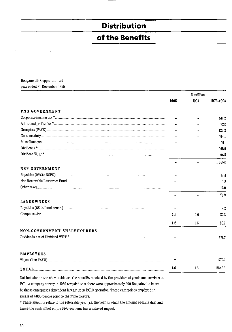# **Distribution**

## of the Benefits

#### Bougainville Copper Limited year ended 31 December, 1995

|                                    |      | K million |           |
|------------------------------------|------|-----------|-----------|
|                                    | 1995 | 1994      | 1972-1995 |
| PNG GOVERNMENT                     |      |           |           |
|                                    |      |           | 514.2     |
|                                    |      |           | 72.6      |
|                                    |      |           | 122.2     |
|                                    |      |           | 104.1     |
|                                    |      |           | 10.1      |
|                                    |      |           | 165.9     |
|                                    |      |           | 96.5      |
|                                    |      |           | 1 085.6   |
| NSP GOVERNMENT                     |      |           |           |
|                                    |      |           | 61.4      |
|                                    |      |           | 1.8       |
|                                    |      |           | 12.0      |
|                                    |      |           | 75.2      |
| <b>LANDOWNERS</b>                  |      |           |           |
|                                    |      |           | $3.2\,$   |
|                                    | 1.6  | 1.6       | 30.3      |
|                                    | 1.6  | 1.6       | 33.5      |
| <b>NON-GOVERNMENT SHAREHOLDERS</b> |      |           |           |
|                                    |      |           | 576.7     |
|                                    |      |           |           |
| <b>EMPLOYEES</b>                   |      |           |           |
|                                    |      |           | 575.6     |
|                                    | 1.6  | $1.6\,$   | 2346.6    |

Not included in the above table are the benefits received by the providers of goods and services to BCL. A company survey in 1989 revealed that there were approximately 200 Bougainville based business enterprises dependent largely upon BCL's operation. These enterprises employed in excess of 4,000 people prior to the mine closure.

\* These amounts relate to the referrable year (i.e. the year in which the amount became due) and hence the cash effect on the PNG economy has a delayed impact.